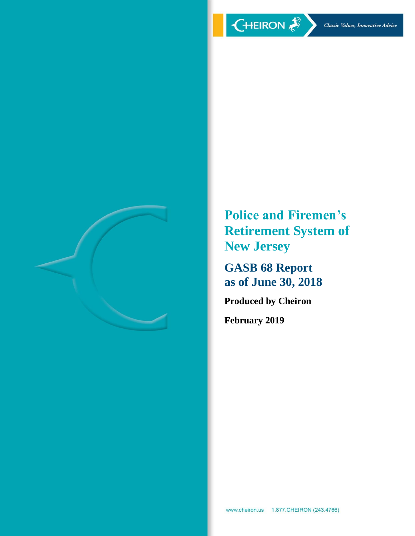

**Police and Firemen's Retirement System of New Jersey**

**GASB 68 Report as of June 30, 2018**

**Produced by Cheiron**

**February 2019**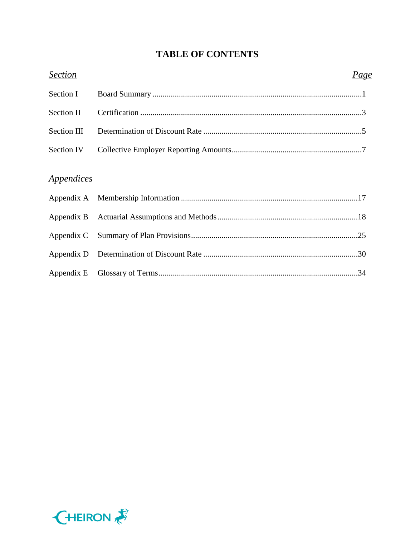# **TABLE OF CONTENTS**

| <b>Section</b>                  | Page |
|---------------------------------|------|
| Section I                       |      |
| Section II                      |      |
| Section III                     |      |
| Section IV                      |      |
| <i><u><b>Appendices</b></u></i> |      |
|                                 |      |
|                                 |      |
|                                 |      |
|                                 |      |
|                                 |      |

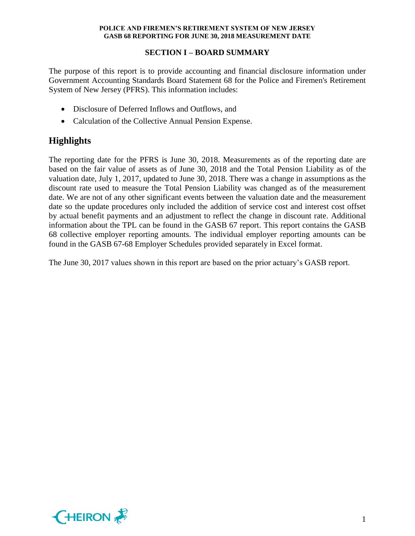## **SECTION I – BOARD SUMMARY**

The purpose of this report is to provide accounting and financial disclosure information under Government Accounting Standards Board Statement 68 for the Police and Firemen's Retirement System of New Jersey (PFRS). This information includes:

- Disclosure of Deferred Inflows and Outflows, and
- Calculation of the Collective Annual Pension Expense.

# **Highlights**

The reporting date for the PFRS is June 30, 2018. Measurements as of the reporting date are based on the fair value of assets as of June 30, 2018 and the Total Pension Liability as of the valuation date, July 1, 2017, updated to June 30, 2018. There was a change in assumptions as the discount rate used to measure the Total Pension Liability was changed as of the measurement date. We are not of any other significant events between the valuation date and the measurement date so the update procedures only included the addition of service cost and interest cost offset by actual benefit payments and an adjustment to reflect the change in discount rate. Additional information about the TPL can be found in the GASB 67 report. This report contains the GASB 68 collective employer reporting amounts. The individual employer reporting amounts can be found in the GASB 67-68 Employer Schedules provided separately in Excel format.

The June 30, 2017 values shown in this report are based on the prior actuary's GASB report.

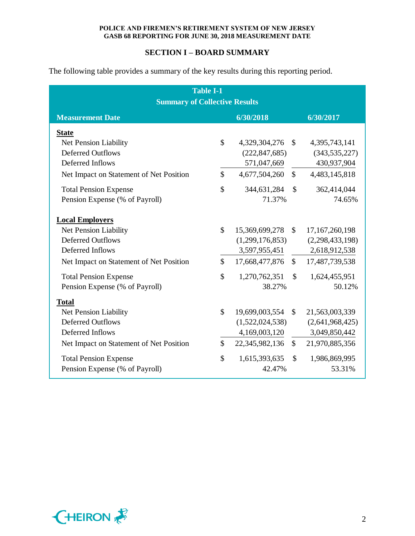## **SECTION I – BOARD SUMMARY**

The following table provides a summary of the key results during this reporting period.

| <b>Table I-1</b><br><b>Summary of Collective Results</b> |               |                 |               |                   |  |  |  |  |  |  |  |
|----------------------------------------------------------|---------------|-----------------|---------------|-------------------|--|--|--|--|--|--|--|
| <b>Measurement Date</b><br>6/30/2018<br>6/30/2017        |               |                 |               |                   |  |  |  |  |  |  |  |
| <b>State</b>                                             |               |                 |               |                   |  |  |  |  |  |  |  |
| Net Pension Liability                                    | \$            | 4,329,304,276   | $\mathbb{S}$  | 4,395,743,141     |  |  |  |  |  |  |  |
| <b>Deferred Outflows</b>                                 |               | (222, 847, 685) |               | (343, 535, 227)   |  |  |  |  |  |  |  |
| Deferred Inflows                                         |               | 571,047,669     |               | 430,937,904       |  |  |  |  |  |  |  |
| Net Impact on Statement of Net Position                  | \$            | 4,677,504,260   | $\mathbb{S}$  | 4,483,145,818     |  |  |  |  |  |  |  |
| <b>Total Pension Expense</b>                             | $\mathcal{S}$ | 344,631,284     | $\mathcal{S}$ | 362,414,044       |  |  |  |  |  |  |  |
| Pension Expense (% of Payroll)                           |               | 71.37%          |               | 74.65%            |  |  |  |  |  |  |  |
| <b>Local Employers</b>                                   |               |                 |               |                   |  |  |  |  |  |  |  |
| Net Pension Liability                                    | $\mathcal{S}$ | 15,369,699,278  | $\mathbb{S}$  | 17, 167, 260, 198 |  |  |  |  |  |  |  |
| <b>Deferred Outflows</b>                                 |               | (1,299,176,853) |               | (2,298,433,198)   |  |  |  |  |  |  |  |
| Deferred Inflows                                         |               | 3,597,955,451   |               | 2,618,912,538     |  |  |  |  |  |  |  |
| Net Impact on Statement of Net Position                  | $\mathcal{S}$ | 17,668,477,876  | $\mathbb{S}$  | 17,487,739,538    |  |  |  |  |  |  |  |
| <b>Total Pension Expense</b>                             | \$            | 1,270,762,351   | $\mathcal{S}$ | 1,624,455,951     |  |  |  |  |  |  |  |
| Pension Expense (% of Payroll)                           |               | 38.27%          |               | 50.12%            |  |  |  |  |  |  |  |
| <b>Total</b>                                             |               |                 |               |                   |  |  |  |  |  |  |  |
| Net Pension Liability                                    | \$            | 19,699,003,554  | $\mathbb{S}$  | 21,563,003,339    |  |  |  |  |  |  |  |
| <b>Deferred Outflows</b>                                 |               | (1,522,024,538) |               | (2,641,968,425)   |  |  |  |  |  |  |  |
| Deferred Inflows                                         |               | 4,169,003,120   |               | 3,049,850,442     |  |  |  |  |  |  |  |
| Net Impact on Statement of Net Position                  | $\mathbb{S}$  | 22,345,982,136  | $\mathbb{S}$  | 21,970,885,356    |  |  |  |  |  |  |  |
| <b>Total Pension Expense</b>                             | \$            | 1,615,393,635   | $\mathcal{S}$ | 1,986,869,995     |  |  |  |  |  |  |  |
| Pension Expense (% of Payroll)                           |               | 42.47%          |               | 53.31%            |  |  |  |  |  |  |  |

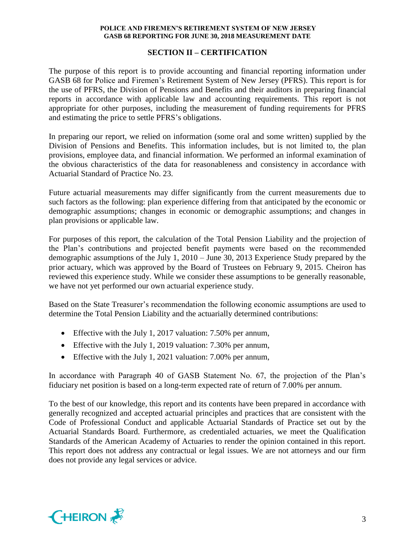## **SECTION II – CERTIFICATION**

The purpose of this report is to provide accounting and financial reporting information under GASB 68 for Police and Firemen's Retirement System of New Jersey (PFRS). This report is for the use of PFRS, the Division of Pensions and Benefits and their auditors in preparing financial reports in accordance with applicable law and accounting requirements. This report is not appropriate for other purposes, including the measurement of funding requirements for PFRS and estimating the price to settle PFRS's obligations.

In preparing our report, we relied on information (some oral and some written) supplied by the Division of Pensions and Benefits. This information includes, but is not limited to, the plan provisions, employee data, and financial information. We performed an informal examination of the obvious characteristics of the data for reasonableness and consistency in accordance with Actuarial Standard of Practice No. 23.

Future actuarial measurements may differ significantly from the current measurements due to such factors as the following: plan experience differing from that anticipated by the economic or demographic assumptions; changes in economic or demographic assumptions; and changes in plan provisions or applicable law.

For purposes of this report, the calculation of the Total Pension Liability and the projection of the Plan's contributions and projected benefit payments were based on the recommended demographic assumptions of the July 1, 2010 – June 30, 2013 Experience Study prepared by the prior actuary, which was approved by the Board of Trustees on February 9, 2015. Cheiron has reviewed this experience study. While we consider these assumptions to be generally reasonable, we have not yet performed our own actuarial experience study.

Based on the State Treasurer's recommendation the following economic assumptions are used to determine the Total Pension Liability and the actuarially determined contributions:

- Effective with the July 1, 2017 valuation: 7.50% per annum,
- Effective with the July 1, 2019 valuation: 7.30% per annum,
- Effective with the July 1, 2021 valuation: 7.00% per annum,

In accordance with Paragraph 40 of GASB Statement No. 67, the projection of the Plan's fiduciary net position is based on a long-term expected rate of return of 7.00% per annum.

To the best of our knowledge, this report and its contents have been prepared in accordance with generally recognized and accepted actuarial principles and practices that are consistent with the Code of Professional Conduct and applicable Actuarial Standards of Practice set out by the Actuarial Standards Board. Furthermore, as credentialed actuaries, we meet the Qualification Standards of the American Academy of Actuaries to render the opinion contained in this report. This report does not address any contractual or legal issues. We are not attorneys and our firm does not provide any legal services or advice.

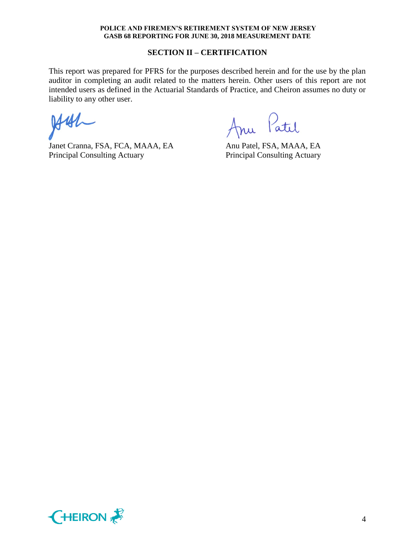## **SECTION II – CERTIFICATION**

This report was prepared for PFRS for the purposes described herein and for the use by the plan auditor in completing an audit related to the matters herein. Other users of this report are not intended users as defined in the Actuarial Standards of Practice, and Cheiron assumes no duty or liability to any other user.

 $H41$ 

Janet Cranna, FSA, FCA, MAAA, EA Anu Patel, FSA, MAAA, EA Principal Consulting Actuary Principal Consulting Actuary

Anu Patil

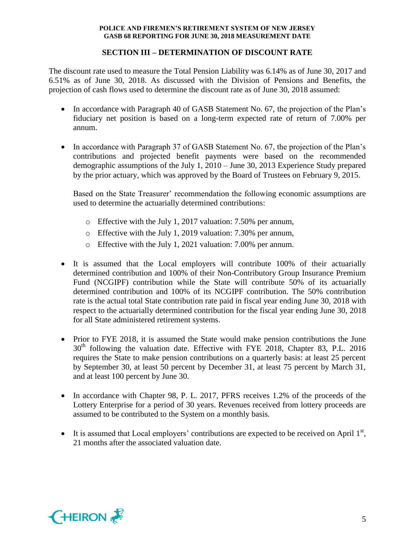## **SECTION III – DETERMINATION OF DISCOUNT RATE**

The discount rate used to measure the Total Pension Liability was 6.14% as of June 30, 2017 and 6.51% as of June 30, 2018. As discussed with the Division of Pensions and Benefits, the projection of cash flows used to determine the discount rate as of June 30, 2018 assumed:

- In accordance with Paragraph 40 of GASB Statement No. 67, the projection of the Plan's fiduciary net position is based on a long-term expected rate of return of 7.00% per annum.
- In accordance with Paragraph 37 of GASB Statement No. 67, the projection of the Plan's contributions and projected benefit payments were based on the recommended demographic assumptions of the July 1, 2010 – June 30, 2013 Experience Study prepared by the prior actuary, which was approved by the Board of Trustees on February 9, 2015.

Based on the State Treasurer' recommendation the following economic assumptions are used to determine the actuarially determined contributions:

- o Effective with the July 1, 2017 valuation: 7.50% per annum,
- o Effective with the July 1, 2019 valuation: 7.30% per annum,
- o Effective with the July 1, 2021 valuation: 7.00% per annum.
- It is assumed that the Local employers will contribute 100% of their actuarially determined contribution and 100% of their Non-Contributory Group Insurance Premium Fund (NCGIPF) contribution while the State will contribute 50% of its actuarially determined contribution and 100% of its NCGIPF contribution. The 50% contribution rate is the actual total State contribution rate paid in fiscal year ending June 30, 2018 with respect to the actuarially determined contribution for the fiscal year ending June 30, 2018 for all State administered retirement systems.
- Prior to FYE 2018, it is assumed the State would make pension contributions the June 30<sup>th</sup> following the valuation date. Effective with FYE 2018, Chapter 83, P.L. 2016 requires the State to make pension contributions on a quarterly basis: at least 25 percent by September 30, at least 50 percent by December 31, at least 75 percent by March 31, and at least 100 percent by June 30.
- In accordance with Chapter 98, P. L. 2017, PFRS receives 1.2% of the proceeds of the Lottery Enterprise for a period of 30 years. Revenues received from lottery proceeds are assumed to be contributed to the System on a monthly basis.
- $\bullet$  It is assumed that Local employers' contributions are expected to be received on April  $1<sup>st</sup>$ , 21 months after the associated valuation date.

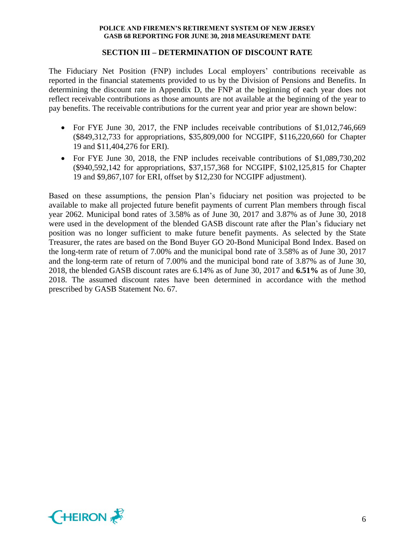## **SECTION III – DETERMINATION OF DISCOUNT RATE**

The Fiduciary Net Position (FNP) includes Local employers' contributions receivable as reported in the financial statements provided to us by the Division of Pensions and Benefits. In determining the discount rate in Appendix D, the FNP at the beginning of each year does not reflect receivable contributions as those amounts are not available at the beginning of the year to pay benefits. The receivable contributions for the current year and prior year are shown below:

- For FYE June 30, 2017, the FNP includes receivable contributions of \$1,012,746,669 (\$849,312,733 for appropriations, \$35,809,000 for NCGIPF, \$116,220,660 for Chapter 19 and \$11,404,276 for ERI).
- For FYE June 30, 2018, the FNP includes receivable contributions of \$1,089,730,202 (\$940,592,142 for appropriations, \$37,157,368 for NCGIPF, \$102,125,815 for Chapter 19 and \$9,867,107 for ERI, offset by \$12,230 for NCGIPF adjustment).

Based on these assumptions, the pension Plan's fiduciary net position was projected to be available to make all projected future benefit payments of current Plan members through fiscal year 2062. Municipal bond rates of 3.58% as of June 30, 2017 and 3.87% as of June 30, 2018 were used in the development of the blended GASB discount rate after the Plan's fiduciary net position was no longer sufficient to make future benefit payments. As selected by the State Treasurer, the rates are based on the Bond Buyer GO 20-Bond Municipal Bond Index. Based on the long-term rate of return of 7.00% and the municipal bond rate of 3.58% as of June 30, 2017 and the long-term rate of return of 7.00% and the municipal bond rate of 3.87% as of June 30, 2018, the blended GASB discount rates are 6.14% as of June 30, 2017 and **6.51%** as of June 30, 2018. The assumed discount rates have been determined in accordance with the method prescribed by GASB Statement No. 67.

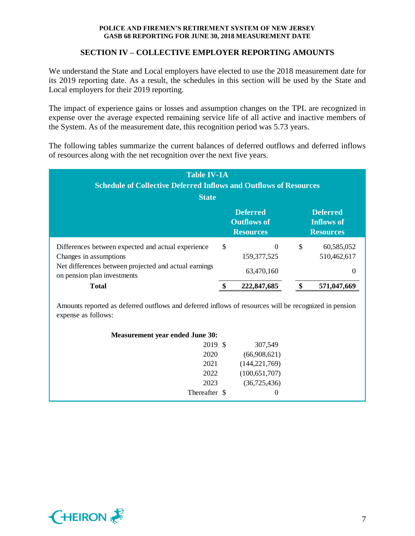## **SECTION IV – COLLECTIVE EMPLOYER REPORTING AMOUNTS**

We understand the State and Local employers have elected to use the 2018 measurement date for its 2019 reporting date. As a result, the schedules in this section will be used by the State and Local employers for their 2019 reporting.

The impact of experience gains or losses and assumption changes on the TPL are recognized in expense over the average expected remaining service life of all active and inactive members of the System. As of the measurement date, this recognition period was 5.73 years.

The following tables summarize the current balances of deferred outflows and deferred inflows of resources along with the net recognition over the next five years.

| <b>Table IV-1A</b><br><b>Schedule of Collective Deferred Inflows and Outflows of Resources</b><br><b>State</b>                        |    |                                                           |    |                                                          |  |  |  |  |
|---------------------------------------------------------------------------------------------------------------------------------------|----|-----------------------------------------------------------|----|----------------------------------------------------------|--|--|--|--|
|                                                                                                                                       |    | <b>Deferred</b><br><b>Outflows of</b><br><b>Resources</b> |    | <b>Deferred</b><br><b>Inflows of</b><br><b>Resources</b> |  |  |  |  |
| Differences between expected and actual experience<br>Changes in assumptions<br>Net differences between projected and actual earnings | \$ | $\Omega$<br>159, 377, 525                                 | \$ | 60,585,052<br>510,462,617                                |  |  |  |  |
| on pension plan investments<br><b>Total</b>                                                                                           |    | 63,470,160<br>222,847,685                                 |    | 0<br>571,047,669                                         |  |  |  |  |

Amounts reported as deferred outflows and deferred inflows of resources will be recognized in pension expense as follows:

| <b>Measurement year ended June 30:</b> |                 |
|----------------------------------------|-----------------|
| 2019 \$                                | 307,549         |
| 2020                                   | (66,908,621)    |
| 2021                                   | (144, 221, 769) |
| 2022                                   | (100, 651, 707) |
| 2023                                   | (36,725,436)    |
| Thereafter \$                          | 0               |

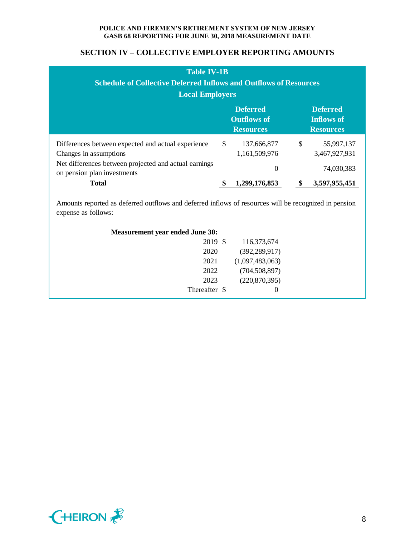## **SECTION IV – COLLECTIVE EMPLOYER REPORTING AMOUNTS**

| <b>Table IV-1B</b><br><b>Schedule of Collective Deferred Inflows and Outflows of Resources</b><br><b>Local Employers</b>                                             |               |                                                           |    |                                                          |  |  |  |  |
|----------------------------------------------------------------------------------------------------------------------------------------------------------------------|---------------|-----------------------------------------------------------|----|----------------------------------------------------------|--|--|--|--|
|                                                                                                                                                                      |               | <b>Deferred</b><br><b>Outflows of</b><br><b>Resources</b> |    | <b>Deferred</b><br><b>Inflows of</b><br><b>Resources</b> |  |  |  |  |
| Differences between expected and actual experience<br>Changes in assumptions<br>Net differences between projected and actual earnings<br>on pension plan investments | <sup>\$</sup> | 137,666,877<br>1,161,509,976<br>0                         | \$ | 55,997,137<br>3,467,927,931<br>74,030,383                |  |  |  |  |
| <b>Total</b>                                                                                                                                                         |               | 1,299,176,853                                             |    | 3,597,955,451                                            |  |  |  |  |

Amounts reported as deferred outflows and deferred inflows of resources will be recognized in pension expense as follows:

| <b>Measurement year ended June 30:</b> |                 |
|----------------------------------------|-----------------|
| 2019 \$                                | 116,373,674     |
| 2020                                   | (392, 289, 917) |
| 2021                                   | (1,097,483,063) |
| 2022                                   | (704, 508, 897) |
| 2023                                   | (220, 870, 395) |
| Thereafter \$                          | $\theta$        |

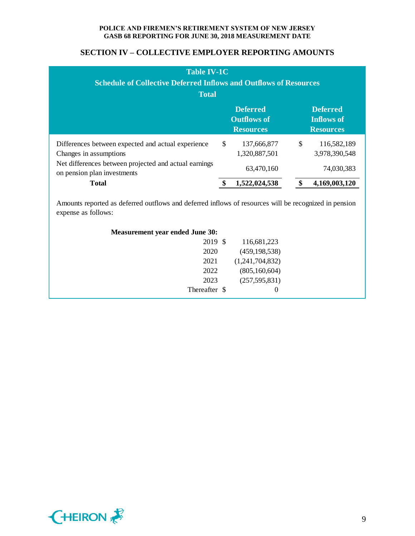## **SECTION IV – COLLECTIVE EMPLOYER REPORTING AMOUNTS**

| <b>Table IV-1C</b><br><b>Schedule of Collective Deferred Inflows and Outflows of Resources</b><br><b>Total</b>                                                       |    |                                                           |                                                          |                                            |  |  |  |  |
|----------------------------------------------------------------------------------------------------------------------------------------------------------------------|----|-----------------------------------------------------------|----------------------------------------------------------|--------------------------------------------|--|--|--|--|
|                                                                                                                                                                      |    | <b>Deferred</b><br><b>Outflows of</b><br><b>Resources</b> | <b>Deferred</b><br><b>Inflows of</b><br><b>Resources</b> |                                            |  |  |  |  |
| Differences between expected and actual experience<br>Changes in assumptions<br>Net differences between projected and actual earnings<br>on pension plan investments | \$ | 137,666,877<br>1,320,887,501<br>63,470,160                | \$                                                       | 116,582,189<br>3,978,390,548<br>74,030,383 |  |  |  |  |
| <b>Total</b>                                                                                                                                                         |    | 1,522,024,538                                             |                                                          | 4,169,003,120                              |  |  |  |  |

Amounts reported as deferred outflows and deferred inflows of resources will be recognized in pension expense as follows:

| <b>Measurement year ended June 30:</b> |                 |
|----------------------------------------|-----------------|
| 2019 \$                                | 116,681,223     |
| 2020                                   | (459, 198, 538) |
| 2021                                   | (1,241,704,832) |
| 2022                                   | (805, 160, 604) |
| 2023                                   | (257, 595, 831) |
| Thereafter \$                          | 0               |

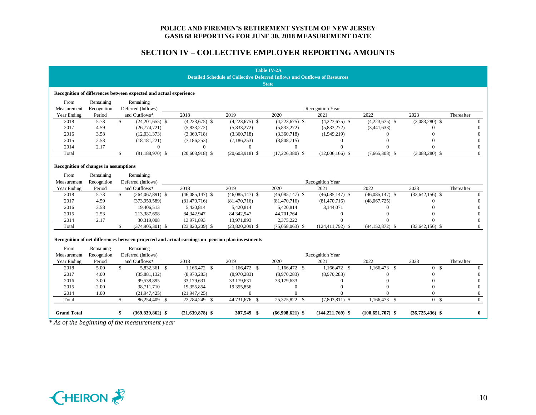## **SECTION IV – COLLECTIVE EMPLOYER REPORTING AMOUNTS**

|                                       |             |               |                                                                                                               |                   |                   | <b>Table IV-2A</b><br><b>Detailed Schedule of Collective Deferred Inflows and Outflows of Resources</b><br><b>State</b> |                      |                      |                   |              |
|---------------------------------------|-------------|---------------|---------------------------------------------------------------------------------------------------------------|-------------------|-------------------|-------------------------------------------------------------------------------------------------------------------------|----------------------|----------------------|-------------------|--------------|
|                                       |             |               | Recognition of differences between expected and actual experience                                             |                   |                   |                                                                                                                         |                      |                      |                   |              |
| From                                  | Remaining   |               | Remaining                                                                                                     |                   |                   |                                                                                                                         |                      |                      |                   |              |
| Measurement                           | Recognition |               | Deferred (Inflows)                                                                                            |                   |                   |                                                                                                                         | Recognition Year     |                      |                   |              |
| Year Ending                           | Period      |               | and Outflows*                                                                                                 | 2018              | 2019              | 2020                                                                                                                    | 2021                 | 2022                 | 2023              | Thereafter   |
| 2018                                  | 5.73        | $\mathbf{s}$  | $(24,201,655)$ \$                                                                                             | $(4,223,675)$ \$  | $(4,223,675)$ \$  | $(4,223,675)$ \$                                                                                                        | $(4,223,675)$ \$     | $(4,223,675)$ \$     | $(3,083,280)$ \$  | $\theta$     |
| 2017                                  | 4.59        |               | (26,774,721)                                                                                                  | (5,833,272)       | (5,833,272)       | (5,833,272)                                                                                                             | (5,833,272)          | (3,441,633)          | $\Omega$          | $\mathbf{0}$ |
| 2016                                  | 3.58        |               | (12,031,373)                                                                                                  | (3,360,718)       | (3,360,718)       | (3,360,718)                                                                                                             | (1,949,219)          | $\Omega$             | $\Omega$          | 0            |
| 2015                                  | 2.53        |               | (18, 181, 221)                                                                                                | (7, 186, 253)     | (7, 186, 253)     | (3,808,715)                                                                                                             | $\mathbf{0}$         | $\Omega$             | $\Omega$          | $\Omega$     |
| 2014                                  | 2.17        |               | $\Omega$                                                                                                      | $\mathbf{0}$      | $\mathbf{0}$      | $\mathbf{0}$                                                                                                            | $\Omega$             | $\Omega$             | $\Omega$          | $\mathbf{0}$ |
| Total                                 |             | \$            | $(81,188,970)$ \$                                                                                             | $(20,603,918)$ \$ | $(20,603,918)$ \$ | $(17,226,380)$ \$                                                                                                       | $(12,006,166)$ \$    | $(7,665,308)$ \$     | $(3,083,280)$ \$  | $\Omega$     |
| Recognition of changes in assumptions |             |               |                                                                                                               |                   |                   |                                                                                                                         |                      |                      |                   |              |
| From                                  | Remaining   |               | Remaining                                                                                                     |                   |                   |                                                                                                                         |                      |                      |                   |              |
| Measurement                           | Recognition |               | Deferred (Inflows)                                                                                            |                   |                   |                                                                                                                         | Recognition Year     |                      |                   |              |
| Year Ending                           | Period      |               | and Outflows*                                                                                                 | 2018              | 2019              | 2020                                                                                                                    | 2021                 | 2022                 | 2023              | Thereafter   |
| 2018                                  | 5.73        | \$            | $(264,067,891)$ \$                                                                                            | $(46,085,147)$ \$ | $(46,085,147)$ \$ | $(46,085,147)$ \$                                                                                                       | $(46,085,147)$ \$    | $(46,085,147)$ \$    | $(33,642,156)$ \$ | $\Omega$     |
| 2017                                  | 4.59        |               | (373,950,589)                                                                                                 | (81, 470, 716)    | (81,470,716)      | (81, 470, 716)                                                                                                          | (81,470,716)         | (48,067,725)         | $\Omega$          | $\Omega$     |
| 2016                                  | 3.58        |               | 19,406,513                                                                                                    | 5,420,814         | 5,420,814         | 5,420,814                                                                                                               | 3,144,071            | $\Omega$             |                   | $\Omega$     |
| 2015                                  | 2.53        |               | 213,387,658                                                                                                   | 84,342,947        | 84,342,947        | 44,701,764                                                                                                              | $\mathbf{0}$         | $\Omega$             | $\Omega$          | $\Omega$     |
| 2014                                  | 2.17        |               | 30,319,008                                                                                                    | 13,971,893        | 13,971,893        | 2,375,222                                                                                                               | 0                    |                      | $\Omega$          | $\Omega$     |
| Total                                 |             | \$            | $(374,905,301)$ \$                                                                                            | $(23,820,209)$ \$ | $(23,820,209)$ \$ | $(75,058,063)$ \$                                                                                                       | $(124, 411, 792)$ \$ | $(94, 152, 872)$ \$  | $(33,642,156)$ \$ | $\Omega$     |
| From                                  | Remaining   |               | Recognition of net differences between projected and actual earnings on pension plan investments<br>Remaining |                   |                   |                                                                                                                         |                      |                      |                   |              |
| Measurement                           | Recognition |               | Deferred (Inflows)                                                                                            |                   |                   |                                                                                                                         | Recognition Year     |                      |                   |              |
| Year Ending                           | Period      |               | and Outflows*                                                                                                 | 2018              | 2019              | 2020                                                                                                                    | 2021                 | 2022                 | 2023              | Thereafter   |
| 2018                                  | 5.00        | \$            | 5,832,361 \$                                                                                                  | 1,166,472 \$      | 1.166.472 \$      | 1.166,472 \$                                                                                                            | 1,166,472 \$         | 1,166,473 \$         | 0 <sup>5</sup>    | $\Omega$     |
| 2017                                  | 4.00        |               | (35,881,132)                                                                                                  | (8,970,283)       | (8,970,283)       | (8,970,283)                                                                                                             | (8,970,283)          |                      | $\Omega$          | $\Omega$     |
| 2016                                  | 3.00        |               | 99,538,895                                                                                                    | 33,179,631        | 33,179,631        | 33,179,633                                                                                                              | $\mathbf{0}$         | $\Omega$             | $\theta$          | $\Omega$     |
| 2015                                  | 2.00        |               | 38,711,710                                                                                                    | 19,355,854        | 19,355,856        | $\boldsymbol{0}$                                                                                                        | $\Omega$             | $\Omega$             | $\Omega$          | $\Omega$     |
| 2014                                  | 1.00        |               | (21,947,425)                                                                                                  | (21,947,425)      | $\mathbf{0}$      | $\overline{0}$                                                                                                          | $\Omega$             | $\Omega$             | $\overline{0}$    | $\mathbf{0}$ |
| Total                                 |             | $\mathcal{S}$ | 86,254,409 \$                                                                                                 | 22,784,249 \$     | 44,731,676 \$     | 25,375,822 \$                                                                                                           | $(7,803,811)$ \$     | 1,166,473 \$         | 0 <sup>5</sup>    | $\Omega$     |
| <b>Grand Total</b>                    |             | \$            | $(369, 839, 862)$ \$                                                                                          | $(21,639,878)$ \$ | 307,549 \$        | $(66,908,621)$ \$                                                                                                       | $(144, 221, 769)$ \$ | $(100, 651, 707)$ \$ | $(36,725,436)$ \$ | $\bf{0}$     |
|                                       |             |               |                                                                                                               |                   |                   |                                                                                                                         |                      |                      |                   |              |
|                                       |             |               | * As of the beginning of the measurement year                                                                 |                   |                   |                                                                                                                         |                      |                      |                   |              |

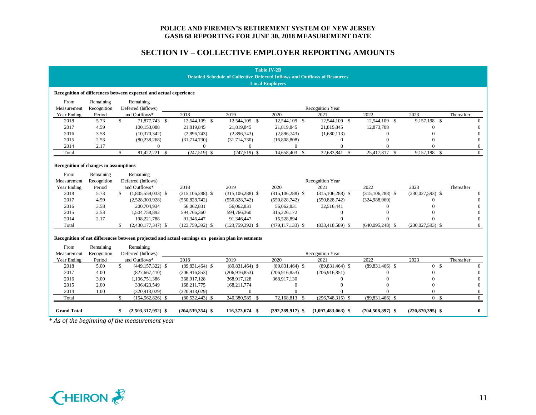# **SECTION IV – COLLECTIVE EMPLOYER REPORTING AMOUNTS**

|                    | <b>Table IV-2B</b><br><b>Detailed Schedule of Collective Deferred Inflows and Outflows of Resources</b><br><b>Local Employers</b> |                                                                                                               |                      |                      |                      |                      |                      |                      |                |  |  |
|--------------------|-----------------------------------------------------------------------------------------------------------------------------------|---------------------------------------------------------------------------------------------------------------|----------------------|----------------------|----------------------|----------------------|----------------------|----------------------|----------------|--|--|
|                    |                                                                                                                                   | Recognition of differences between expected and actual experience                                             |                      |                      |                      |                      |                      |                      |                |  |  |
| From               | Remaining                                                                                                                         | Remaining                                                                                                     |                      |                      |                      |                      |                      |                      |                |  |  |
| Measurement        | Recognition                                                                                                                       | Deferred (Inflows)                                                                                            |                      |                      |                      | Recognition Year     |                      |                      |                |  |  |
| Year Ending        | Period                                                                                                                            | and Outflows*                                                                                                 | 2018                 | 2019                 | 2020                 | 2021                 | 2022                 | 2023                 | Thereafter     |  |  |
| 2018               | 5.73                                                                                                                              | $\mathbf{s}$<br>71,877,743 \$                                                                                 | 12.544.109 \$        | 12.544.109 \$        | 12.544.109 \$        | 12,544,109 \$        | 12,544,109 \$        | 9,157,198 \$         | $\Omega$       |  |  |
| 2017               | 4.59                                                                                                                              | 100,153,088                                                                                                   | 21,819,845           | 21,819,845           | 21,819,845           | 21,819,845           | 12,873,708           | $\Omega$             | $\Omega$       |  |  |
| 2016               | 3.58                                                                                                                              | (10,370,342)                                                                                                  | (2,896,743)          | (2,896,743)          | (2,896,743)          | (1,680,113)          | 0                    | $\Omega$             | $\Omega$       |  |  |
| 2015               | 2.53                                                                                                                              | (80, 238, 268)                                                                                                | (31,714,730)         | (31,714,730)         | (16,808,808)         | $\mathbf{0}$         | $\Omega$             |                      | $\Omega$       |  |  |
| 2014               | 2.17                                                                                                                              | $\Omega$                                                                                                      | $\mathbf{0}$         | $\mathbf{0}$         | $\overline{0}$       | $\Omega$             | $\Omega$             | $\Omega$             | $\mathbf{0}$   |  |  |
| Total              |                                                                                                                                   | $\mathbb{S}$<br>81,422,221 \$                                                                                 | $(247,519)$ \$       | $(247,519)$ \$       | 14,658,403 \$        | 32,683,841 \$        | 25,417,817 \$        | 9,157,198 \$         | $\Omega$       |  |  |
| From               | Recognition of changes in assumptions<br>Remaining<br>Remaining                                                                   |                                                                                                               |                      |                      |                      |                      |                      |                      |                |  |  |
| Measurement        | Recognition                                                                                                                       | Deferred (Inflows)                                                                                            |                      |                      |                      | Recognition Year     |                      |                      |                |  |  |
| Year Ending        | Period                                                                                                                            | and Outflows*                                                                                                 | 2018                 | 2019                 | 2020                 | 2021                 | 2022                 | 2023                 | Thereafter     |  |  |
| 2018               | 5.73                                                                                                                              | $\mathbf{s}$<br>$(1,805,559,033)$ \$                                                                          | $(315, 106, 288)$ \$ | $(315, 106, 288)$ \$ | $(315, 106, 288)$ \$ | $(315, 106, 288)$ \$ | $(315, 106, 288)$ \$ | $(230,027,593)$ \$   | $\Omega$       |  |  |
| 2017               | 4.59                                                                                                                              | (2,528,303,928)                                                                                               | (550, 828, 742)      | (550, 828, 742)      | (550, 828, 742)      | (550, 828, 742)      | (324,988,960)        | $\Omega$             | $\Omega$       |  |  |
| 2016               | 3.58                                                                                                                              | 200,704,934                                                                                                   | 56,062,831           | 56,062,831           | 56,062,831           | 32,516,441           | 0                    |                      | $\Omega$       |  |  |
| 2015               | 2.53                                                                                                                              | 1,504,758,892                                                                                                 | 594,766,360          | 594,766,360          | 315,226,172          | $\Omega$             | 0                    | $\Omega$             | $\Omega$       |  |  |
| 2014               | 2.17                                                                                                                              | 198,221,788                                                                                                   | 91,346,447           | 91,346,447           | 15,528,894           | $\Omega$             |                      | $\Omega$             | $\mathbf{0}$   |  |  |
| Total              |                                                                                                                                   | \$<br>$(2,430,177,347)$ \$                                                                                    | $(123,759,392)$ \$   | $(123,759,392)$ \$   | $(479, 117, 133)$ \$ | $(833, 418, 589)$ \$ | $(640,095,248)$ \$   | $(230,027,593)$ \$   | $\overline{0}$ |  |  |
| From               | Remaining                                                                                                                         | Recognition of net differences between projected and actual earnings on pension plan investments<br>Remaining |                      |                      |                      |                      |                      |                      |                |  |  |
| Measurement        | Recognition                                                                                                                       | Deferred (Inflows)                                                                                            |                      |                      |                      | Recognition Year     |                      |                      |                |  |  |
| Year Ending        | Period                                                                                                                            | and Outflows*                                                                                                 | 2018                 | 2019                 | 2020                 | 2021                 | 2022                 | 2023                 | Thereafter     |  |  |
| 2018               | 5.00                                                                                                                              | $\mathbf{s}$<br>$(449, 157, 322)$ \$                                                                          | $(89,831,464)$ \$    | $(89,831,464)$ \$    | $(89,831,464)$ \$    | $(89,831,464)$ \$    | $(89,831,466)$ \$    | 0 S                  | $\overline{0}$ |  |  |
| 2017               | 4.00                                                                                                                              | (827, 667, 410)                                                                                               | (206,916,853)        | (206,916,853)        | (206,916,853)        | (206,916,851)        | 0                    | $\Omega$             | $\mathbf{0}$   |  |  |
| 2016               | 3.00                                                                                                                              | 1,106,751,386                                                                                                 | 368,917,128          | 368,917,128          | 368,917,130          | $\Omega$             | $\Omega$             | $\Omega$             | $\Omega$       |  |  |
| 2015               | 2.00                                                                                                                              | 336,423,549                                                                                                   | 168,211,775          | 168,211,774          | $\mathbf{0}$         | $\theta$             |                      | $\Omega$             | $\Omega$       |  |  |
| 2014               | 1.00                                                                                                                              | (320.913.029)                                                                                                 | (320, 913, 029)      | $\mathbf{0}$         | $\Omega$             | $\Omega$             |                      | $\Omega$             | $\mathbf{0}$   |  |  |
| Total              |                                                                                                                                   | \$<br>$(154, 562, 826)$ \$                                                                                    | $(80,532,443)$ \$    | 240,380,585 \$       | 72,168,813 \$        | $(296,748,315)$ \$   | $(89,831,466)$ \$    | 0 <sup>5</sup>       | $\overline{0}$ |  |  |
| <b>Grand Total</b> |                                                                                                                                   | $(2,503,317,952)$ \$<br>\$<br>* As of the beginning of the measurement year                                   | $(204, 539, 354)$ \$ | 116,373,674 \$       | $(392, 289, 917)$ \$ | $(1,097,483,063)$ \$ | $(704, 508, 897)$ \$ | $(220, 870, 395)$ \$ | $\bf{0}$       |  |  |
|                    |                                                                                                                                   |                                                                                                               |                      |                      |                      |                      |                      |                      |                |  |  |

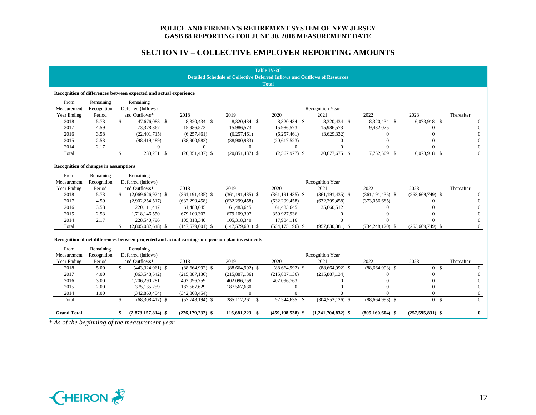## **SECTION IV – COLLECTIVE EMPLOYER REPORTING AMOUNTS**

|                                                                                   |             |                                                                                                  |                      |                      | <b>Table IV-2C</b>   |                      |                      |                      |                  |  |
|-----------------------------------------------------------------------------------|-------------|--------------------------------------------------------------------------------------------------|----------------------|----------------------|----------------------|----------------------|----------------------|----------------------|------------------|--|
| <b>Detailed Schedule of Collective Deferred Inflows and Outflows of Resources</b> |             |                                                                                                  |                      |                      |                      |                      |                      |                      |                  |  |
|                                                                                   |             |                                                                                                  |                      |                      | <b>Total</b>         |                      |                      |                      |                  |  |
|                                                                                   |             | Recognition of differences between expected and actual experience                                |                      |                      |                      |                      |                      |                      |                  |  |
| From                                                                              | Remaining   | Remaining                                                                                        |                      |                      |                      |                      |                      |                      |                  |  |
| Measurement                                                                       | Recognition | Deferred (Inflows)                                                                               |                      |                      |                      | Recognition Year     |                      |                      |                  |  |
| Year Ending                                                                       | Period      | and Outflows*                                                                                    | 2018                 | 2019                 | 2020                 | 2021                 | 2022                 | 2023                 | Thereafter       |  |
| 2018                                                                              | 5.73        | \$<br>47.676.088 \$                                                                              | 8,320,434 \$         | 8,320,434 \$         | 8,320,434 \$         | 8,320,434 \$         | 8,320,434 \$         | 6,073,918 \$         | $\Omega$         |  |
| 2017                                                                              | 4.59        | 73,378,367                                                                                       | 15,986,573           | 15,986,573           | 15,986,573           | 15,986,573           | 9,432,075            | $\mathbf{0}$         | $\mathbf{0}$     |  |
| 2016                                                                              | 3.58        | (22, 401, 715)                                                                                   | (6,257,461)          | (6,257,461)          | (6,257,461)          | (3,629,332)          | $\mathbf{0}$         | $\Omega$             | $\Omega$         |  |
| 2015                                                                              | 2.53        | (98, 419, 489)                                                                                   | (38,900,983)         | (38,900,983)         | (20,617,523)         | $\Omega$             | $\Omega$             | $\Omega$             | $\Omega$         |  |
| 2014                                                                              | 2.17        | $\Omega$                                                                                         | $\Omega$             | $\overline{0}$       | $\overline{0}$       | $\Omega$             | $\Omega$             | $\Omega$             | $\mathbf{0}$     |  |
| Total                                                                             |             | \$<br>233,251 \$                                                                                 | $(20,851,437)$ \$    | $(20,851,437)$ \$    | $(2,567,977)$ \$     | 20,677,675 \$        | 17,752,509 \$        | 6,073,918 \$         | $\theta$         |  |
|                                                                                   |             |                                                                                                  |                      |                      |                      |                      |                      |                      |                  |  |
| Recognition of changes in assumptions                                             |             |                                                                                                  |                      |                      |                      |                      |                      |                      |                  |  |
| From                                                                              | Remaining   | Remaining                                                                                        |                      |                      |                      |                      |                      |                      |                  |  |
| Measurement                                                                       | Recognition | Deferred (Inflows)                                                                               |                      |                      |                      | Recognition Year     |                      |                      |                  |  |
| Year Ending                                                                       | Period      | and Outflows*                                                                                    | 2018                 | 2019                 | 2020                 | 2021                 | 2022                 | 2023                 | Thereafter       |  |
| 2018                                                                              | 5.73        | \$<br>$(2,069,626,924)$ \$                                                                       | $(361, 191, 435)$ \$ | $(361, 191, 435)$ \$ | $(361, 191, 435)$ \$ | $(361, 191, 435)$ \$ | $(361, 191, 435)$ \$ | $(263,669,749)$ \$   | $\Omega$         |  |
| 2017                                                                              | 4.59        | (2,902,254,517)                                                                                  | (632, 299, 458)      | (632, 299, 458)      | (632, 299, 458)      | (632, 299, 458)      | (373,056,685)        | $\Omega$             | $\Omega$         |  |
| 2016                                                                              | 3.58        | 220,111,447                                                                                      | 61,483,645           | 61,483,645           | 61,483,645           | 35,660,512           | $\Omega$             | $\Omega$             | $\Omega$         |  |
| 2015                                                                              | 2.53        | 1,718,146,550                                                                                    | 679,109,307          | 679,109,307          | 359,927,936          | $\mathbf{0}$         | $\Omega$             | $\Omega$             | $\mathbf{0}$     |  |
| 2014                                                                              | 2.17        | 228,540,796                                                                                      | 105,318,340          | 105,318,340          | 17,904,116           | $\Omega$             | $\Omega$             | $\Omega$             | $\mathbf{0}$     |  |
| Total                                                                             |             | $\mathbb{S}$<br>$(2,805,082,648)$ \$                                                             | $(147,579,601)$ \$   | $(147,579,601)$ \$   | $(554, 175, 196)$ \$ | $(957,830,381)$ \$   | $(734, 248, 120)$ \$ | $(263,669,749)$ \$   | $\theta$         |  |
|                                                                                   |             |                                                                                                  |                      |                      |                      |                      |                      |                      |                  |  |
|                                                                                   |             | Recognition of net differences between projected and actual earnings on pension plan investments |                      |                      |                      |                      |                      |                      |                  |  |
| From                                                                              | Remaining   | Remaining                                                                                        |                      |                      |                      |                      |                      |                      |                  |  |
| Measurement                                                                       | Recognition | Deferred (Inflows)                                                                               |                      |                      |                      | Recognition Year     |                      |                      |                  |  |
| Year Ending                                                                       | Period      | and Outflows*                                                                                    | 2018                 | 2019                 | 2020                 | 2021                 | 2022                 | 2023                 | Thereafter       |  |
| 2018                                                                              | 5.00        | \$<br>$(443,324,961)$ \$                                                                         | $(88,664,992)$ \$    | $(88,664,992)$ \$    | $(88,664,992)$ \$    | $(88,664,992)$ \$    | $(88,664,993)$ \$    | 0 S                  | $\theta$         |  |
| 2017                                                                              | 4.00        | (863, 548, 542)                                                                                  | (215,887,136)        | (215,887,136)        | (215,887,136)        | (215,887,134)        | $\Omega$             | $\Omega$             | $\Omega$         |  |
| 2016                                                                              | 3.00        | 1,206,290,281                                                                                    | 402,096,759          | 402,096,759          | 402,096,763          | $\Omega$             | $\Omega$             | $\Omega$             | $\Omega$         |  |
| 2015                                                                              | 2.00        | 375,135,259                                                                                      | 187,567,629          | 187,567,630          | $\mathbf{0}$         | $\Omega$             | $\Omega$             | $\Omega$             | $\mathbf{0}$     |  |
| 2014                                                                              | 1.00        | (342,860,454)                                                                                    | (342, 860, 454)      | $\mathbf{0}$         | $\mathbf{0}$         | $\Omega$             | $\Omega$             | $\Omega$             | $\boldsymbol{0}$ |  |
| Total                                                                             |             | \$<br>$(68,308,417)$ \$                                                                          | $(57,748,194)$ \$    | 285,112,261 \$       | 97,544,635 \$        | $(304, 552, 126)$ \$ | $(88,664,993)$ \$    | 0 <sup>5</sup>       | $\overline{0}$   |  |
| <b>Grand Total</b>                                                                |             | $(2,873,157,814)$ \$<br>\$                                                                       | $(226, 179, 232)$ \$ | 116,681,223 \$       | $(459, 198, 538)$ \$ | $(1,241,704,832)$ \$ | $(805, 160, 604)$ \$ | $(257, 595, 831)$ \$ | $\bf{0}$         |  |
|                                                                                   |             | * As of the beginning of the measurement year                                                    |                      |                      |                      |                      |                      |                      |                  |  |

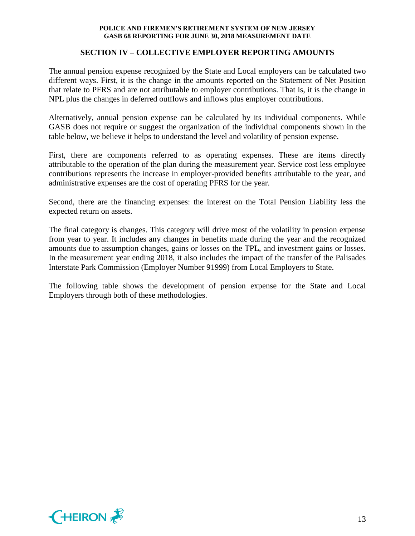## **SECTION IV – COLLECTIVE EMPLOYER REPORTING AMOUNTS**

The annual pension expense recognized by the State and Local employers can be calculated two different ways. First, it is the change in the amounts reported on the Statement of Net Position that relate to PFRS and are not attributable to employer contributions. That is, it is the change in NPL plus the changes in deferred outflows and inflows plus employer contributions.

Alternatively, annual pension expense can be calculated by its individual components. While GASB does not require or suggest the organization of the individual components shown in the table below, we believe it helps to understand the level and volatility of pension expense.

First, there are components referred to as operating expenses. These are items directly attributable to the operation of the plan during the measurement year. Service cost less employee contributions represents the increase in employer-provided benefits attributable to the year, and administrative expenses are the cost of operating PFRS for the year.

Second, there are the financing expenses: the interest on the Total Pension Liability less the expected return on assets.

The final category is changes. This category will drive most of the volatility in pension expense from year to year. It includes any changes in benefits made during the year and the recognized amounts due to assumption changes, gains or losses on the TPL, and investment gains or losses. In the measurement year ending 2018, it also includes the impact of the transfer of the Palisades Interstate Park Commission (Employer Number 91999) from Local Employers to State.

The following table shows the development of pension expense for the State and Local Employers through both of these methodologies.

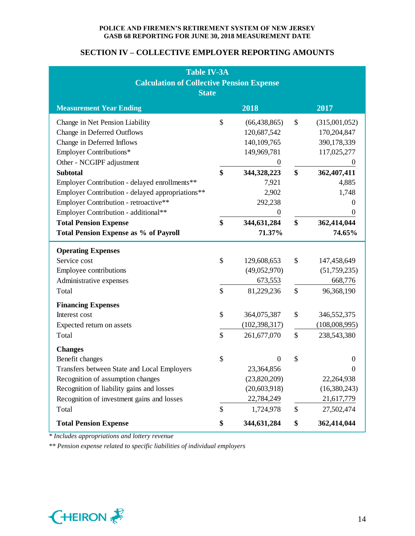## **SECTION IV – COLLECTIVE EMPLOYER REPORTING AMOUNTS**

| <b>Table IV-3A</b><br><b>Calculation of Collective Pension Expense</b><br><b>State</b>                                                                                                                           |                         |                                                                                |                                 |                                                                        |  |  |  |  |  |  |  |
|------------------------------------------------------------------------------------------------------------------------------------------------------------------------------------------------------------------|-------------------------|--------------------------------------------------------------------------------|---------------------------------|------------------------------------------------------------------------|--|--|--|--|--|--|--|
| <b>Measurement Year Ending</b><br>2018<br>2017                                                                                                                                                                   |                         |                                                                                |                                 |                                                                        |  |  |  |  |  |  |  |
| Change in Net Pension Liability<br>Change in Deferred Outflows<br>Change in Deferred Inflows<br><b>Employer Contributions*</b><br>Other - NCGIPF adjustment                                                      | \$                      | (66, 438, 865)<br>120,687,542<br>140,109,765<br>149,969,781<br>$\theta$        | \$                              | (315,001,052)<br>170,204,847<br>390,178,339<br>117,025,277<br>$\theta$ |  |  |  |  |  |  |  |
| <b>Subtotal</b><br>Employer Contribution - delayed enrollments**<br>Employer Contribution - delayed appropriations**<br>Employer Contribution - retroactive**<br>Employer Contribution - additional**            | \$<br>\$                | 344,328,223<br>7,921<br>2,902<br>292,238<br>$\overline{0}$                     | \$<br>\$                        | 362,407,411<br>4,885<br>1,748<br>$\mathbf{0}$<br>$\theta$              |  |  |  |  |  |  |  |
| <b>Total Pension Expense</b><br><b>Total Pension Expense as % of Payroll</b>                                                                                                                                     |                         | 344,631,284<br>71.37%                                                          |                                 | 362,414,044<br>74.65%                                                  |  |  |  |  |  |  |  |
| <b>Operating Expenses</b><br>Service cost<br><b>Employee contributions</b><br>Administrative expenses<br>Total                                                                                                   | \$<br>$\mathcal{S}$     | 129,608,653<br>(49,052,970)<br>673,553<br>81,229,236                           | \$<br>$\mathcal{S}$             | 147,458,649<br>(51,759,235)<br>668,776<br>96,368,190                   |  |  |  |  |  |  |  |
| <b>Financing Expenses</b><br>Interest cost<br>Expected return on assets<br>Total                                                                                                                                 | $\boldsymbol{\$}$<br>\$ | 364,075,387<br>(102, 398, 317)<br>261,677,070                                  | \$<br>\$                        | 346,552,375<br>(108,008,995)<br>238,543,380                            |  |  |  |  |  |  |  |
| <b>Changes</b><br>Benefit changes<br>Transfers between State and Local Employers<br>Recognition of assumption changes<br>Recognition of liability gains and losses<br>Recognition of investment gains and losses | \$                      | $\boldsymbol{0}$<br>23,364,856<br>(23,820,209)<br>(20, 603, 918)<br>22,784,249 | \$                              | $\boldsymbol{0}$<br>U<br>22,264,938<br>(16,380,243)<br>21,617,779      |  |  |  |  |  |  |  |
| Total<br><b>Total Pension Expense</b>                                                                                                                                                                            | \$<br>\$                | 1,724,978<br>344,631,284                                                       | $\boldsymbol{\mathsf{S}}$<br>\$ | 27,502,474<br>362,414,044                                              |  |  |  |  |  |  |  |

*\* Includes appropriations and lottery revenue*

*\*\* Pension expense related to specific liabilities of individual employers*

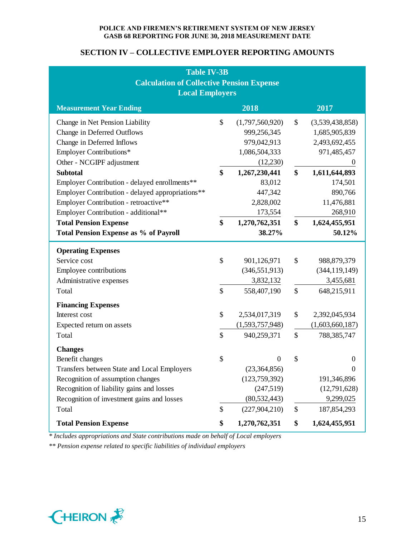## **SECTION IV – COLLECTIVE EMPLOYER REPORTING AMOUNTS**

| <b>Table IV-3B</b><br><b>Calculation of Collective Pension Expense</b> |                   |                 |    |                  |  |
|------------------------------------------------------------------------|-------------------|-----------------|----|------------------|--|
| <b>Local Employers</b>                                                 |                   |                 |    |                  |  |
| <b>Measurement Year Ending</b>                                         |                   | 2018            |    | 2017             |  |
| Change in Net Pension Liability                                        | \$                | (1,797,560,920) | \$ | (3,539,438,858)  |  |
| Change in Deferred Outflows                                            |                   | 999,256,345     |    | 1,685,905,839    |  |
| Change in Deferred Inflows                                             |                   | 979,042,913     |    | 2,493,692,455    |  |
| <b>Employer Contributions*</b>                                         |                   | 1,086,504,333   |    | 971,485,457      |  |
| Other - NCGIPF adjustment                                              |                   | (12,230)        |    | $\boldsymbol{0}$ |  |
| <b>Subtotal</b>                                                        | $\boldsymbol{\$}$ | 1,267,230,441   | \$ | 1,611,644,893    |  |
| Employer Contribution - delayed enrollments**                          |                   | 83,012          |    | 174,501          |  |
| Employer Contribution - delayed appropriations**                       |                   | 447,342         |    | 890,766          |  |
| Employer Contribution - retroactive**                                  |                   | 2,828,002       |    | 11,476,881       |  |
| Employer Contribution - additional**                                   |                   | 173,554         |    | 268,910          |  |
| <b>Total Pension Expense</b>                                           | \$                | 1,270,762,351   | \$ | 1,624,455,951    |  |
| <b>Total Pension Expense as % of Payroll</b>                           |                   | 38.27%          |    | 50.12%           |  |
| <b>Operating Expenses</b>                                              |                   |                 |    |                  |  |
| Service cost                                                           | \$                | 901,126,971     | \$ | 988, 879, 379    |  |
| <b>Employee contributions</b>                                          |                   | (346, 551, 913) |    | (344, 119, 149)  |  |
| Administrative expenses                                                |                   | 3,832,132       |    | 3,455,681        |  |
| Total                                                                  | \$                | 558,407,190     | \$ | 648,215,911      |  |
| <b>Financing Expenses</b>                                              |                   |                 |    |                  |  |
| Interest cost                                                          | $\mathcal{S}$     | 2,534,017,319   | \$ | 2,392,045,934    |  |
| Expected return on assets                                              |                   | (1,593,757,948) |    | (1,603,660,187)  |  |
| Total                                                                  | \$                | 940,259,371     | \$ | 788, 385, 747    |  |
| <b>Changes</b>                                                         |                   |                 |    |                  |  |
| Benefit changes                                                        | \$                | $\mathbf{0}$    | \$ | $\boldsymbol{0}$ |  |
| Transfers between State and Local Employers                            |                   | (23, 364, 856)  |    | $\mathbf{0}$     |  |
| Recognition of assumption changes                                      |                   | (123,759,392)   |    | 191,346,896      |  |
| Recognition of liability gains and losses                              |                   | (247,519)       |    | (12,791,628)     |  |
| Recognition of investment gains and losses                             |                   | (80, 532, 443)  |    | 9,299,025        |  |
| Total                                                                  | \$                | (227, 904, 210) | \$ | 187, 854, 293    |  |
| <b>Total Pension Expense</b>                                           | \$                | 1,270,762,351   | \$ | 1,624,455,951    |  |

*\* Includes appropriations and State contributions made on behalf of Local employers*

*\*\* Pension expense related to specific liabilities of individual employers*

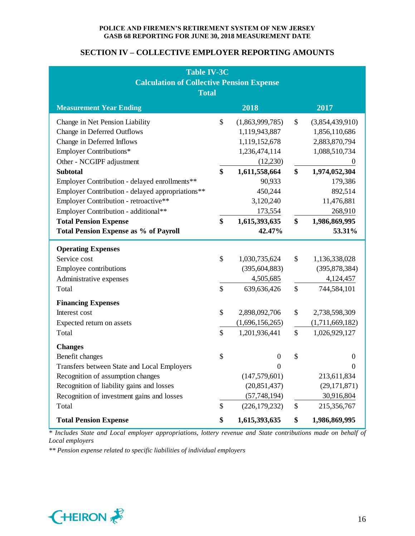## **SECTION IV – COLLECTIVE EMPLOYER REPORTING AMOUNTS**

| <b>Table IV-3C</b><br><b>Calculation of Collective Pension Expense</b><br><b>Total</b>                                                                                                                                          |                     |                                                                                                           |          |                                                                                                                    |  |  |
|---------------------------------------------------------------------------------------------------------------------------------------------------------------------------------------------------------------------------------|---------------------|-----------------------------------------------------------------------------------------------------------|----------|--------------------------------------------------------------------------------------------------------------------|--|--|
| <b>Measurement Year Ending</b>                                                                                                                                                                                                  |                     | 2018                                                                                                      |          | 2017                                                                                                               |  |  |
| Change in Net Pension Liability<br>Change in Deferred Outflows<br>Change in Deferred Inflows<br><b>Employer Contributions*</b><br>Other - NCGIPF adjustment<br><b>Subtotal</b><br>Employer Contribution - delayed enrollments** | \$<br>\$            | (1,863,999,785)<br>1,119,943,887<br>1,119,152,678<br>1,236,474,114<br>(12,230)<br>1,611,558,664<br>90,933 | \$<br>\$ | (3,854,439,910)<br>1,856,110,686<br>2,883,870,794<br>1,088,510,734<br>$\boldsymbol{0}$<br>1,974,052,304<br>179,386 |  |  |
| Employer Contribution - delayed appropriations**<br>Employer Contribution - retroactive**<br>Employer Contribution - additional**<br><b>Total Pension Expense</b><br><b>Total Pension Expense as % of Payroll</b>               | \$                  | 450,244<br>3,120,240<br>173,554<br>1,615,393,635<br>42.47%                                                | \$       | 892,514<br>11,476,881<br>268,910<br>1,986,869,995<br>53.31%                                                        |  |  |
| <b>Operating Expenses</b><br>Service cost<br>Employee contributions<br>Administrative expenses<br>Total                                                                                                                         | \$<br>\$            | 1,030,735,624<br>(395, 604, 883)<br>4,505,685<br>639,636,426                                              | \$<br>\$ | 1,136,338,028<br>(395, 878, 384)<br>4,124,457<br>744,584,101                                                       |  |  |
| <b>Financing Expenses</b><br>Interest cost<br>Expected return on assets<br>Total                                                                                                                                                | \$<br>$\mathcal{S}$ | 2,898,092,706<br>(1,696,156,265)<br>1,201,936,441                                                         | \$<br>\$ | 2,738,598,309<br>(1,711,669,182)<br>1,026,929,127                                                                  |  |  |
| <b>Changes</b><br>Benefit changes<br>Transfers between State and Local Employers<br>Recognition of assumption changes<br>Recognition of liability gains and losses<br>Recognition of investment gains and losses<br>Total       | \$<br>\$            | $\theta$<br>0<br>(147, 579, 601)<br>(20, 851, 437)<br>(57, 748, 194)<br>(226, 179, 232)                   | \$<br>\$ | $\boldsymbol{0}$<br>$\overline{0}$<br>213,611,834<br>(29, 171, 871)<br>30,916,804<br>215,356,767                   |  |  |
| <b>Total Pension Expense</b>                                                                                                                                                                                                    | \$                  | 1,615,393,635                                                                                             | \$       | 1,986,869,995                                                                                                      |  |  |

*\* Includes State and Local employer appropriations, lottery revenue and State contributions made on behalf of Local employers*

*\*\* Pension expense related to specific liabilities of individual employers*

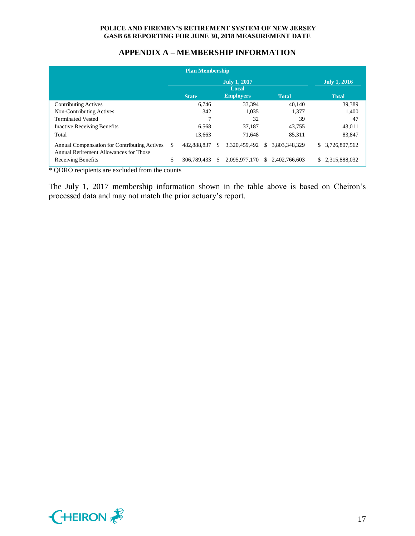## **APPENDIX A – MEMBERSHIP INFORMATION**

|                                                                                        |                              | <b>Plan Membership</b> |    |                  |               |                                |                     |
|----------------------------------------------------------------------------------------|------------------------------|------------------------|----|------------------|---------------|--------------------------------|---------------------|
|                                                                                        | <b>July 1, 2017</b><br>Local |                        |    |                  |               |                                | <b>July 1, 2016</b> |
|                                                                                        |                              | <b>State</b>           |    | <b>Employers</b> |               | <b>Total</b>                   | <b>Total</b>        |
| <b>Contributing Actives</b>                                                            |                              | 6.746                  |    | 33,394           |               | 40.140                         | 39,389              |
| Non-Contributing Actives                                                               |                              | 342                    |    | 1.035            |               | 1.377                          | 1,400               |
| <b>Terminated Vested</b>                                                               |                              |                        |    | 32               |               | 39                             | 47                  |
| <b>Inactive Receiving Benefits</b>                                                     |                              | 6,568                  |    | 37,187           |               | 43,755                         | 43,011              |
| Total                                                                                  |                              | 13.663                 |    | 71.648           |               | 85.311                         | 83,847              |
| Annual Compensation for Contributing Actives<br>Annual Retirement Allowances for Those | S                            | 482,888,837            | S  | 3,320,459,492    | <sup>\$</sup> | 3.803.348.329                  | \$<br>3,726,807,562 |
| Receiving Benefits                                                                     | \$                           | 306,789,433            | S. |                  |               | 2.095.977.170 \$ 2.402.766.603 | \$<br>2,315,888,032 |

\* QDRO recipients are excluded from the counts

The July 1, 2017 membership information shown in the table above is based on Cheiron's processed data and may not match the prior actuary's report.

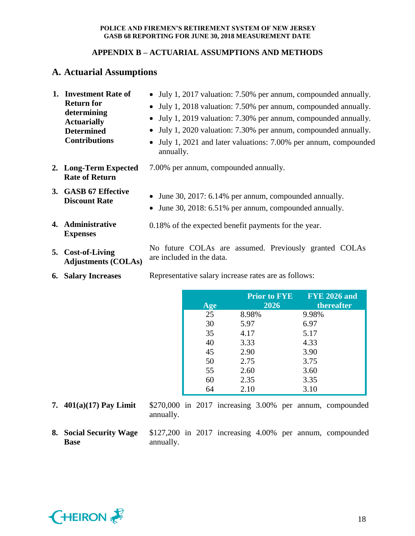## **APPENDIX B – ACTUARIAL ASSUMPTIONS AND METHODS**

# **A. Actuarial Assumptions**

| 1. Investment Rate of                                                          | • July 1, 2017 valuation: 7.50% per annum, compounded annually.                                                                                                                                                     |
|--------------------------------------------------------------------------------|---------------------------------------------------------------------------------------------------------------------------------------------------------------------------------------------------------------------|
| <b>Return for</b>                                                              | • July 1, 2018 valuation: 7.50% per annum, compounded annually.                                                                                                                                                     |
| determining<br><b>Actuarially</b><br><b>Determined</b><br><b>Contributions</b> | • July 1, 2019 valuation: 7.30% per annum, compounded annually.<br>• July 1, 2020 valuation: 7.30% per annum, compounded annually.<br>• July 1, 2021 and later valuations: 7.00% per annum, compounded<br>annually. |
| 2. Long-Term Expected<br><b>Rate of Return</b>                                 | 7.00% per annum, compounded annually.                                                                                                                                                                               |
| 3. GASB 67 Effective<br><b>Discount Rate</b>                                   | • June 30, 2017: 6.14% per annum, compounded annually.<br>• June 30, 2018: 6.51% per annum, compounded annually.                                                                                                    |
| 4. Administrative<br><b>Expenses</b>                                           | 0.18% of the expected benefit payments for the year.                                                                                                                                                                |
|                                                                                | $\mathbf{1}$ $\mathbf{R}$ $\mathbf{1}$ $\mathbf{1}$ $\mathbf{1}$ $\mathbf{1}$ $\mathbf{1}$ $\mathbf{1}$ $\mathbf{1}$<br>$\mathbf{r}$ $\alpha$ $\alpha$                                                              |

**5. Cost-of-Living Adjustments (COLAs)**

No future COLAs are assumed. Previously granted COLAs are included in the data.

**6. Salary Increases** Representative salary increase rates are as follows:

| Age | <b>Prior to FYE</b><br>2026 | <b>FYE 2026 and</b><br>thereafter |
|-----|-----------------------------|-----------------------------------|
| 25  | 8.98%                       | 9.98%                             |
| 30  | 5.97                        | 6.97                              |
| 35  | 4.17                        | 5.17                              |
| 40  | 3.33                        | 4.33                              |
| 45  | 2.90                        | 3.90                              |
| 50  | 2.75                        | 3.75                              |
| 55  | 2.60                        | 3.60                              |
| 60  | 2.35                        | 3.35                              |
| 64  | 2.10                        | 3.10                              |

**7. 401(a)(17) Pay Limit** \$270,000 in 2017 increasing 3.00% per annum, compounded annually.

**8. Social Security Wage Base**

\$127,200 in 2017 increasing 4.00% per annum, compounded annually.

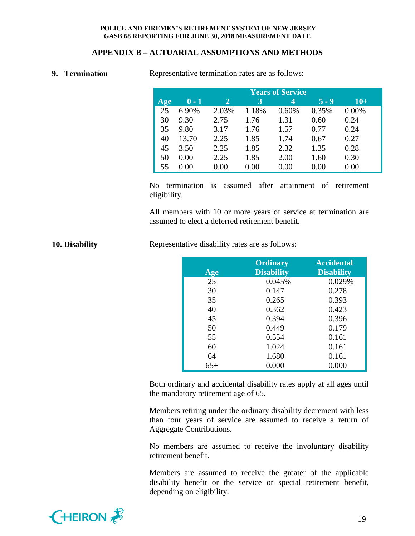## **APPENDIX B – ACTUARIAL ASSUMPTIONS AND METHODS**

**9. Termination** Representative termination rates are as follows:

|     | <b>Years of Service</b> |              |       |       |         |          |  |  |  |
|-----|-------------------------|--------------|-------|-------|---------|----------|--|--|--|
| Age | $0 - 1$                 | $\mathbf{2}$ | 3     | 4     | $5 - 9$ | $10+$    |  |  |  |
| 25  | 6.90%                   | 2.03%        | 1.18% | 0.60% | 0.35%   | 0.00%    |  |  |  |
| 30  | 9.30                    | 2.75         | 1.76  | 1.31  | 0.60    | 0.24     |  |  |  |
| 35  | 9.80                    | 3.17         | 1.76  | 1.57  | 0.77    | 0.24     |  |  |  |
| 40  | 13.70                   | 2.25         | 1.85  | 1.74  | 0.67    | 0.27     |  |  |  |
| 45  | 3.50                    | 2.25         | 1.85  | 2.32  | 1.35    | 0.28     |  |  |  |
| 50  | 0.00                    | 2.25         | 1.85  | 2.00  | 1.60    | 0.30     |  |  |  |
| 55  | $0.00\,$                | 0.00         | 0.00  | 0.00  | 0.00    | $0.00\,$ |  |  |  |

No termination is assumed after attainment of retirement eligibility.

All members with 10 or more years of service at termination are assumed to elect a deferred retirement benefit.

| 10. Disability | Representative disability rates are as follows: |
|----------------|-------------------------------------------------|
|                |                                                 |

|       | <b>Ordinary</b><br><b>Disability</b> | <b>Accidental</b><br><b>Disability</b> |
|-------|--------------------------------------|----------------------------------------|
| Age   |                                      |                                        |
| 25    | 0.045%                               | 0.029%                                 |
| 30    | 0.147                                | 0.278                                  |
| 35    | 0.265                                | 0.393                                  |
| 40    | 0.362                                | 0.423                                  |
| 45    | 0.394                                | 0.396                                  |
| 50    | 0.449                                | 0.179                                  |
| 55    | 0.554                                | 0.161                                  |
| 60    | 1.024                                | 0.161                                  |
| 64    | 1.680                                | 0.161                                  |
| $65+$ | 0.000                                | 0.000                                  |

Both ordinary and accidental disability rates apply at all ages until the mandatory retirement age of 65.

Members retiring under the ordinary disability decrement with less than four years of service are assumed to receive a return of Aggregate Contributions.

No members are assumed to receive the involuntary disability retirement benefit.

Members are assumed to receive the greater of the applicable disability benefit or the service or special retirement benefit, depending on eligibility.

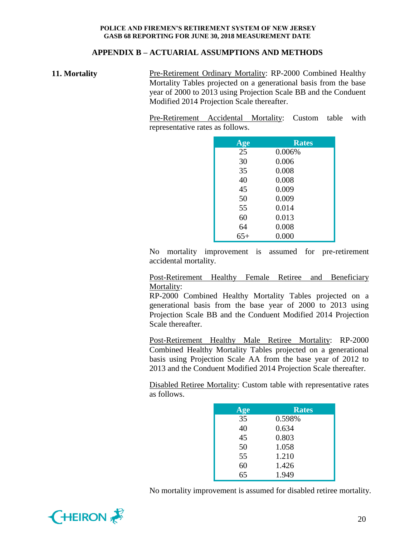## **APPENDIX B – ACTUARIAL ASSUMPTIONS AND METHODS**

## **11. Mortality** Pre-Retirement Ordinary Mortality: RP-2000 Combined Healthy Mortality Tables projected on a generational basis from the base year of 2000 to 2013 using Projection Scale BB and the Conduent Modified 2014 Projection Scale thereafter.

Pre-Retirement Accidental Mortality: Custom table with representative rates as follows.

| Age   | <b>Rates</b> |
|-------|--------------|
| 25    | 0.006%       |
| 30    | 0.006        |
| 35    | 0.008        |
| 40    | 0.008        |
| 45    | 0.009        |
| 50    | 0.009        |
| 55    | 0.014        |
| 60    | 0.013        |
| 64    | 0.008        |
| $65+$ | 0.000        |

No mortality improvement is assumed for pre-retirement accidental mortality.

Post-Retirement Healthy Female Retiree and Beneficiary Mortality:

RP-2000 Combined Healthy Mortality Tables projected on a generational basis from the base year of 2000 to 2013 using Projection Scale BB and the Conduent Modified 2014 Projection Scale thereafter.

Post-Retirement Healthy Male Retiree Mortality: RP-2000 Combined Healthy Mortality Tables projected on a generational basis using Projection Scale AA from the base year of 2012 to 2013 and the Conduent Modified 2014 Projection Scale thereafter.

Disabled Retiree Mortality: Custom table with representative rates as follows.

| Age | <b>Rates</b> |
|-----|--------------|
| 35  | 0.598%       |
| 40  | 0.634        |
| 45  | 0.803        |
| 50  | 1.058        |
| 55  | 1.210        |
| 60  | 1.426        |
| 65  | 1.949        |

No mortality improvement is assumed for disabled retiree mortality.

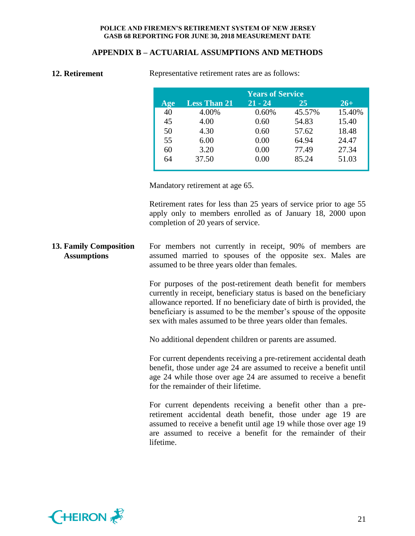## **APPENDIX B – ACTUARIAL ASSUMPTIONS AND METHODS**

**12. Retirement** Representative retirement rates are as follows:

| <b>Years of Service</b> |                     |           |        |        |  |  |
|-------------------------|---------------------|-----------|--------|--------|--|--|
| Age                     | <b>Less Than 21</b> | $21 - 24$ | 25     | $26+$  |  |  |
| 40                      | 4.00%               | 0.60%     | 45.57% | 15.40% |  |  |
| 45                      | 4.00                | 0.60      | 54.83  | 15.40  |  |  |
| 50                      | 4.30                | 0.60      | 57.62  | 18.48  |  |  |
| 55                      | 6.00                | 0.00      | 64.94  | 24.47  |  |  |
| 60                      | 3.20                | 0.00      | 77.49  | 27.34  |  |  |
| 64                      | 37.50               | 0.00      | 85.24  | 51.03  |  |  |
|                         |                     |           |        |        |  |  |

Mandatory retirement at age 65.

Retirement rates for less than 25 years of service prior to age 55 apply only to members enrolled as of January 18, 2000 upon completion of 20 years of service.

#### **13. Family Composition Assumptions** For members not currently in receipt, 90% of members are assumed married to spouses of the opposite sex. Males are assumed to be three years older than females.

For purposes of the post-retirement death benefit for members currently in receipt, beneficiary status is based on the beneficiary allowance reported. If no beneficiary date of birth is provided, the beneficiary is assumed to be the member's spouse of the opposite sex with males assumed to be three years older than females.

No additional dependent children or parents are assumed.

For current dependents receiving a pre-retirement accidental death benefit, those under age 24 are assumed to receive a benefit until age 24 while those over age 24 are assumed to receive a benefit for the remainder of their lifetime.

For current dependents receiving a benefit other than a preretirement accidental death benefit, those under age 19 are assumed to receive a benefit until age 19 while those over age 19 are assumed to receive a benefit for the remainder of their lifetime.

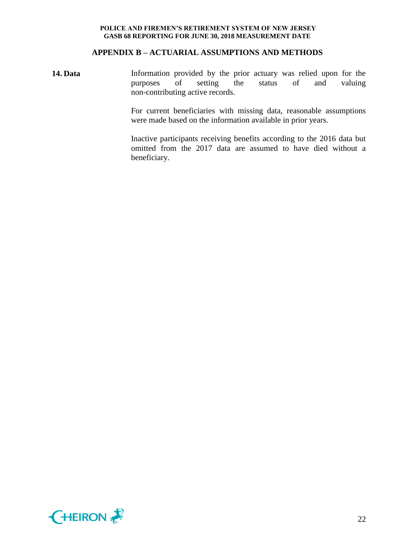## **APPENDIX B – ACTUARIAL ASSUMPTIONS AND METHODS**

**14. Data** Information provided by the prior actuary was relied upon for the purposes of setting the status of and valuing non-contributing active records.

> For current beneficiaries with missing data, reasonable assumptions were made based on the information available in prior years.

> Inactive participants receiving benefits according to the 2016 data but omitted from the 2017 data are assumed to have died without a beneficiary.

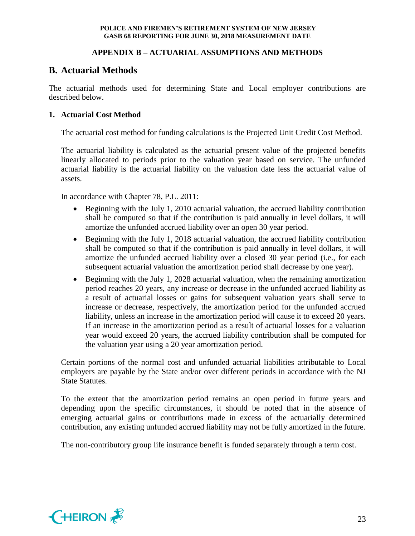## **APPENDIX B – ACTUARIAL ASSUMPTIONS AND METHODS**

# **B. Actuarial Methods**

The actuarial methods used for determining State and Local employer contributions are described below.

## **1. Actuarial Cost Method**

The actuarial cost method for funding calculations is the Projected Unit Credit Cost Method.

The actuarial liability is calculated as the actuarial present value of the projected benefits linearly allocated to periods prior to the valuation year based on service. The unfunded actuarial liability is the actuarial liability on the valuation date less the actuarial value of assets.

In accordance with Chapter 78, P.L. 2011:

- Beginning with the July 1, 2010 actuarial valuation, the accrued liability contribution shall be computed so that if the contribution is paid annually in level dollars, it will amortize the unfunded accrued liability over an open 30 year period.
- Beginning with the July 1, 2018 actuarial valuation, the accrued liability contribution shall be computed so that if the contribution is paid annually in level dollars, it will amortize the unfunded accrued liability over a closed 30 year period (i.e., for each subsequent actuarial valuation the amortization period shall decrease by one year).
- Beginning with the July 1, 2028 actuarial valuation, when the remaining amortization period reaches 20 years, any increase or decrease in the unfunded accrued liability as a result of actuarial losses or gains for subsequent valuation years shall serve to increase or decrease, respectively, the amortization period for the unfunded accrued liability, unless an increase in the amortization period will cause it to exceed 20 years. If an increase in the amortization period as a result of actuarial losses for a valuation year would exceed 20 years, the accrued liability contribution shall be computed for the valuation year using a 20 year amortization period.

Certain portions of the normal cost and unfunded actuarial liabilities attributable to Local employers are payable by the State and/or over different periods in accordance with the NJ State Statutes.

To the extent that the amortization period remains an open period in future years and depending upon the specific circumstances, it should be noted that in the absence of emerging actuarial gains or contributions made in excess of the actuarially determined contribution, any existing unfunded accrued liability may not be fully amortized in the future.

The non-contributory group life insurance benefit is funded separately through a term cost.

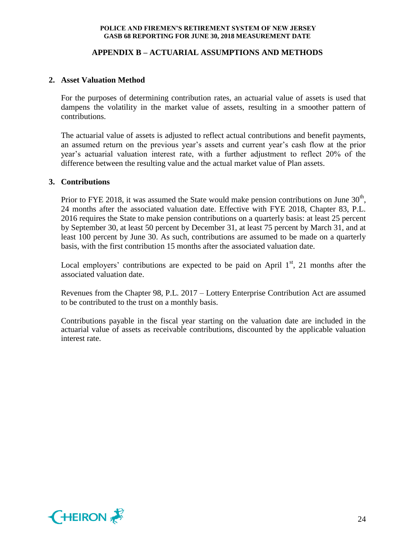## **APPENDIX B – ACTUARIAL ASSUMPTIONS AND METHODS**

## **2. Asset Valuation Method**

For the purposes of determining contribution rates, an actuarial value of assets is used that dampens the volatility in the market value of assets, resulting in a smoother pattern of contributions.

The actuarial value of assets is adjusted to reflect actual contributions and benefit payments, an assumed return on the previous year's assets and current year's cash flow at the prior year's actuarial valuation interest rate, with a further adjustment to reflect 20% of the difference between the resulting value and the actual market value of Plan assets.

## **3. Contributions**

Prior to FYE 2018, it was assumed the State would make pension contributions on June  $30<sup>th</sup>$ , 24 months after the associated valuation date. Effective with FYE 2018, Chapter 83, P.L. 2016 requires the State to make pension contributions on a quarterly basis: at least 25 percent by September 30, at least 50 percent by December 31, at least 75 percent by March 31, and at least 100 percent by June 30. As such, contributions are assumed to be made on a quarterly basis, with the first contribution 15 months after the associated valuation date.

Local employers' contributions are expected to be paid on April  $1<sup>st</sup>$ , 21 months after the associated valuation date.

Revenues from the Chapter 98, P.L. 2017 – Lottery Enterprise Contribution Act are assumed to be contributed to the trust on a monthly basis.

Contributions payable in the fiscal year starting on the valuation date are included in the actuarial value of assets as receivable contributions, discounted by the applicable valuation interest rate.

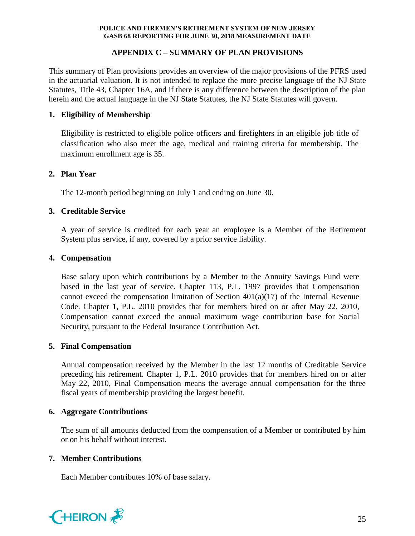## **APPENDIX C – SUMMARY OF PLAN PROVISIONS**

This summary of Plan provisions provides an overview of the major provisions of the PFRS used in the actuarial valuation. It is not intended to replace the more precise language of the NJ State Statutes, Title 43, Chapter 16A, and if there is any difference between the description of the plan herein and the actual language in the NJ State Statutes, the NJ State Statutes will govern.

## **1. Eligibility of Membership**

Eligibility is restricted to eligible police officers and firefighters in an eligible job title of classification who also meet the age, medical and training criteria for membership. The maximum enrollment age is 35.

## **2. Plan Year**

The 12-month period beginning on July 1 and ending on June 30.

## **3. Creditable Service**

A year of service is credited for each year an employee is a Member of the Retirement System plus service, if any, covered by a prior service liability.

## **4. Compensation**

Base salary upon which contributions by a Member to the Annuity Savings Fund were based in the last year of service. Chapter 113, P.L. 1997 provides that Compensation cannot exceed the compensation limitation of Section  $401(a)(17)$  of the Internal Revenue Code. Chapter 1, P.L. 2010 provides that for members hired on or after May 22, 2010, Compensation cannot exceed the annual maximum wage contribution base for Social Security, pursuant to the Federal Insurance Contribution Act.

## **5. Final Compensation**

Annual compensation received by the Member in the last 12 months of Creditable Service preceding his retirement. Chapter 1, P.L. 2010 provides that for members hired on or after May 22, 2010, Final Compensation means the average annual compensation for the three fiscal years of membership providing the largest benefit.

## **6. Aggregate Contributions**

The sum of all amounts deducted from the compensation of a Member or contributed by him or on his behalf without interest.

## **7. Member Contributions**

Each Member contributes 10% of base salary.

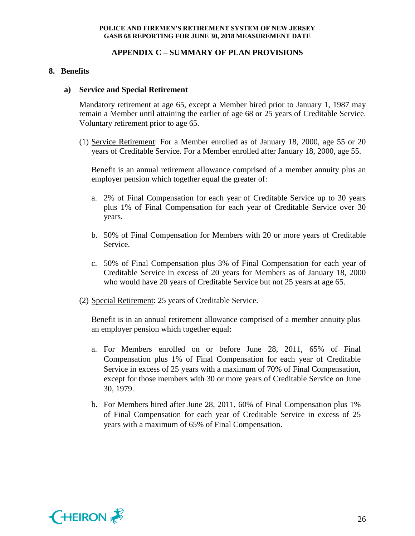## **APPENDIX C – SUMMARY OF PLAN PROVISIONS**

## **8. Benefits**

### **a) Service and Special Retirement**

Mandatory retirement at age 65, except a Member hired prior to January 1, 1987 may remain a Member until attaining the earlier of age 68 or 25 years of Creditable Service. Voluntary retirement prior to age 65.

(1) Service Retirement: For a Member enrolled as of January 18, 2000, age 55 or 20 years of Creditable Service. For a Member enrolled after January 18, 2000, age 55.

Benefit is an annual retirement allowance comprised of a member annuity plus an employer pension which together equal the greater of:

- a. 2% of Final Compensation for each year of Creditable Service up to 30 years plus 1% of Final Compensation for each year of Creditable Service over 30 years.
- b. 50% of Final Compensation for Members with 20 or more years of Creditable Service.
- c. 50% of Final Compensation plus 3% of Final Compensation for each year of Creditable Service in excess of 20 years for Members as of January 18, 2000 who would have 20 years of Creditable Service but not 25 years at age 65.
- (2) Special Retirement: 25 years of Creditable Service.

Benefit is in an annual retirement allowance comprised of a member annuity plus an employer pension which together equal:

- a. For Members enrolled on or before June 28, 2011, 65% of Final Compensation plus 1% of Final Compensation for each year of Creditable Service in excess of 25 years with a maximum of 70% of Final Compensation, except for those members with 30 or more years of Creditable Service on June 30, 1979.
- b. For Members hired after June 28, 2011, 60% of Final Compensation plus 1% of Final Compensation for each year of Creditable Service in excess of 25 years with a maximum of 65% of Final Compensation.

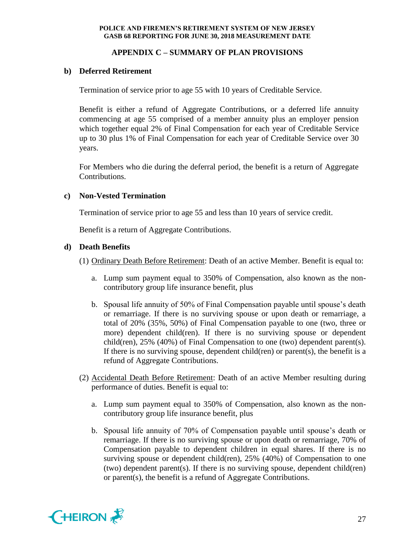## **APPENDIX C – SUMMARY OF PLAN PROVISIONS**

## **b) Deferred Retirement**

Termination of service prior to age 55 with 10 years of Creditable Service.

Benefit is either a refund of Aggregate Contributions, or a deferred life annuity commencing at age 55 comprised of a member annuity plus an employer pension which together equal 2% of Final Compensation for each year of Creditable Service up to 30 plus 1% of Final Compensation for each year of Creditable Service over 30 years.

For Members who die during the deferral period, the benefit is a return of Aggregate Contributions.

## **c) Non-Vested Termination**

Termination of service prior to age 55 and less than 10 years of service credit.

Benefit is a return of Aggregate Contributions.

## **d) Death Benefits**

- (1) Ordinary Death Before Retirement: Death of an active Member. Benefit is equal to:
	- a. Lump sum payment equal to 350% of Compensation, also known as the noncontributory group life insurance benefit, plus
	- b. Spousal life annuity of 50% of Final Compensation payable until spouse's death or remarriage. If there is no surviving spouse or upon death or remarriage, a total of 20% (35%, 50%) of Final Compensation payable to one (two, three or more) dependent child(ren). If there is no surviving spouse or dependent child(ren), 25% (40%) of Final Compensation to one (two) dependent parent(s). If there is no surviving spouse, dependent child(ren) or parent(s), the benefit is a refund of Aggregate Contributions.
- (2) Accidental Death Before Retirement: Death of an active Member resulting during performance of duties. Benefit is equal to:
	- a. Lump sum payment equal to 350% of Compensation, also known as the noncontributory group life insurance benefit, plus
	- b. Spousal life annuity of 70% of Compensation payable until spouse's death or remarriage. If there is no surviving spouse or upon death or remarriage, 70% of Compensation payable to dependent children in equal shares. If there is no surviving spouse or dependent child(ren), 25% (40%) of Compensation to one (two) dependent parent(s). If there is no surviving spouse, dependent child(ren) or parent(s), the benefit is a refund of Aggregate Contributions.

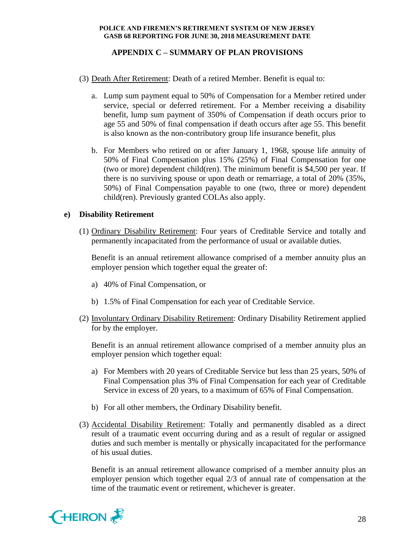## **APPENDIX C – SUMMARY OF PLAN PROVISIONS**

- (3) Death After Retirement: Death of a retired Member. Benefit is equal to:
	- a. Lump sum payment equal to 50% of Compensation for a Member retired under service, special or deferred retirement. For a Member receiving a disability benefit, lump sum payment of 350% of Compensation if death occurs prior to age 55 and 50% of final compensation if death occurs after age 55. This benefit is also known as the non-contributory group life insurance benefit, plus
	- b. For Members who retired on or after January 1, 1968, spouse life annuity of 50% of Final Compensation plus 15% (25%) of Final Compensation for one (two or more) dependent child(ren). The minimum benefit is \$4,500 per year. If there is no surviving spouse or upon death or remarriage, a total of 20% (35%, 50%) of Final Compensation payable to one (two, three or more) dependent child(ren). Previously granted COLAs also apply.

## **e) Disability Retirement**

(1) Ordinary Disability Retirement: Four years of Creditable Service and totally and permanently incapacitated from the performance of usual or available duties.

Benefit is an annual retirement allowance comprised of a member annuity plus an employer pension which together equal the greater of:

- a) 40% of Final Compensation, or
- b) 1.5% of Final Compensation for each year of Creditable Service.
- (2) Involuntary Ordinary Disability Retirement: Ordinary Disability Retirement applied for by the employer.

Benefit is an annual retirement allowance comprised of a member annuity plus an employer pension which together equal:

- a) For Members with 20 years of Creditable Service but less than 25 years, 50% of Final Compensation plus 3% of Final Compensation for each year of Creditable Service in excess of 20 years, to a maximum of 65% of Final Compensation.
- b) For all other members, the Ordinary Disability benefit.
- (3) Accidental Disability Retirement: Totally and permanently disabled as a direct result of a traumatic event occurring during and as a result of regular or assigned duties and such member is mentally or physically incapacitated for the performance of his usual duties.

Benefit is an annual retirement allowance comprised of a member annuity plus an employer pension which together equal 2/3 of annual rate of compensation at the time of the traumatic event or retirement, whichever is greater.

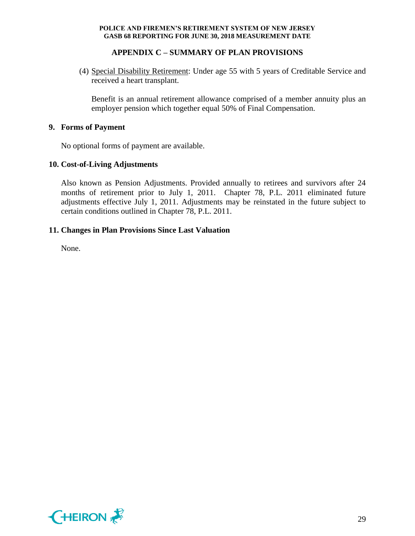## **APPENDIX C – SUMMARY OF PLAN PROVISIONS**

(4) Special Disability Retirement: Under age 55 with 5 years of Creditable Service and received a heart transplant.

Benefit is an annual retirement allowance comprised of a member annuity plus an employer pension which together equal 50% of Final Compensation.

## **9. Forms of Payment**

No optional forms of payment are available.

## **10. Cost-of-Living Adjustments**

Also known as Pension Adjustments. Provided annually to retirees and survivors after 24 months of retirement prior to July 1, 2011. Chapter 78, P.L. 2011 eliminated future adjustments effective July 1, 2011. Adjustments may be reinstated in the future subject to certain conditions outlined in Chapter 78, P.L. 2011.

## **11. Changes in Plan Provisions Since Last Valuation**

None.

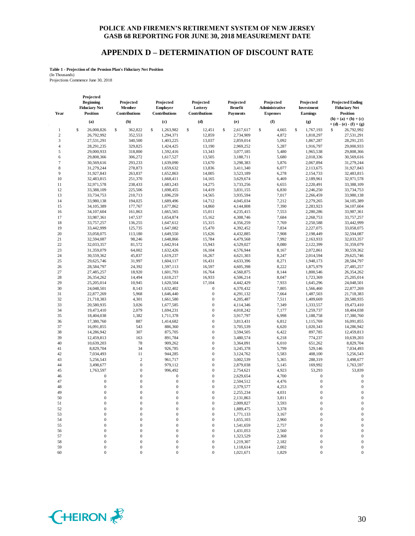## **APPENDIX D – DETERMINATION OF DISCOUNT RATE**

**Table 1 - Projection of the Pension Plan's Fiduciary Net Position**

(In Thousands) Projections Commence June 30, 2018

**Projected** 

| Year             | <b>Beginning</b><br><b>Fiduciary Net</b><br><b>Position</b> | Projected<br>Member<br>Contributions | Projected<br><b>Employer</b><br>Contributions | Projected<br>Lottery<br>Contributions | Projected<br><b>Benefit</b><br><b>Payments</b> | Projected<br>Administrative<br><b>Expenses</b> | Projected<br>Investment<br>Earnings | <b>Projected Ending</b><br><b>Fiduciary Net</b><br><b>Position</b> |
|------------------|-------------------------------------------------------------|--------------------------------------|-----------------------------------------------|---------------------------------------|------------------------------------------------|------------------------------------------------|-------------------------------------|--------------------------------------------------------------------|
|                  | (a)                                                         | (b)                                  | (c)                                           | (d)                                   | (e)                                            | (f)                                            | (g)                                 | $(h) = (a) + (b) + (c)$<br>$+ (d) - (e) - (f) + (g)$               |
| 1                | \$<br>26,008,826                                            | \$<br>362,822                        | \$<br>1,263,982                               | \$<br>12,451                          | \$<br>2,617,617                                | \$<br>4,665                                    | \$<br>1,767,193                     | 26,792,992<br>\$                                                   |
| $\boldsymbol{2}$ | 26,792,992                                                  | 352,553                              | 1,294,371                                     | 12,859                                | 2,734,909                                      | 4,872                                          | 1,818,297                           | 27,531,291                                                         |
| 3                | 27,531,291                                                  | 340,500                              | 1,403,225                                     | 13,037                                | 2,859,014                                      | 5,092                                          | 1,867,287                           | 28,291,235                                                         |
| $\overline{4}$   | 28,291,235                                                  | 329,825                              | 1,424,425                                     | 13,190                                | 2,969,252                                      | 5,287                                          | 1,916,797                           | 29,000,933                                                         |
| 5                | 29,000,933                                                  | 318,800                              | 1,592,416                                     | 13,343                                | 3,077,185                                      | 5,480                                          | 1,965,538                           | 29,808,366                                                         |
| 6                | 29,808,366                                                  | 306,272                              | 1,617,527                                     | 13,505                                | 3,188,711                                      | 5,680                                          | 2,018,336                           | 30,569,616                                                         |
| 7                | 30,569,616                                                  | 293,233                              | 1,639,090                                     | 13,670                                | 3,298,383                                      | 5,876                                          | 2,067,894                           | 31,279,244                                                         |
| 8                | 31,279,244                                                  | 278,873                              | 1,659,632                                     | 13,836                                | 3,411,340                                      | 6,077                                          | 2,113,675                           | 31,927,843                                                         |
| 9                | 31,927,843                                                  | 263,837                              | 1,652,863                                     | 14,005                                | 3,523,189                                      | 6,278                                          | 2,154,733                           | 32,483,815                                                         |
| 10               | 32,483,815                                                  | 251,370                              | 1,668,411                                     | 14,165                                | 3,629,674                                      | 6,469                                          | 2,189,961                           | 32,971,578                                                         |
| 11               | 32,971,578                                                  | 238,433                              | 1,683,243                                     | 14,275                                | 3,733,256                                      |                                                |                                     | 33,388,109                                                         |
| 12               | 33,388,109                                                  | 225,506                              | 1,698,455                                     | 14,419                                | 3,831,155                                      | 6,655<br>6,830                                 | 2,220,491<br>2,246,250              | 33,734,753                                                         |
|                  |                                                             |                                      |                                               |                                       |                                                |                                                | 2,266,459                           |                                                                    |
| 13<br>14         | 33,734,753                                                  | 210,713                              | 1,696,259<br>1,689,496                        | 14,565                                | 3,935,594<br>4,045,034                         | 7,017                                          |                                     | 33,980,138<br>34,105,389                                           |
|                  | 33,980,138                                                  | 194,025                              |                                               | 14,712                                |                                                | 7,212                                          | 2,279,265                           |                                                                    |
| 15               | 34,105,389                                                  | 177,767<br>161,863                   | 1,677,862<br>1,665,565                        | 14,860<br>15,011                      | 4,144,808                                      | 7,390<br>7,553                                 | 2,283,923                           | 34,107,604<br>33,987,361                                           |
| 16               | 34,107,604                                                  |                                      |                                               |                                       | 4,235,415                                      |                                                | 2,280,286                           |                                                                    |
| 17               | 33,987,361                                                  | 147,537                              | 1,654,874                                     | 15,162                                | 4,308,746                                      | 7,684                                          | 2,268,753                           | 33,757,257                                                         |
| 18               | 33,757,257                                                  | 136,255                              | 1,647,612                                     | 15,315                                | 4,356,259                                      | 7,769                                          | 2,250,588                           | 33,442,999                                                         |
| 19               | 33,442,999                                                  | 125,735                              | 1,647,082                                     | 15,470                                | 4,392,452                                      | 7,834                                          | 2,227,075                           | 33,058,075                                                         |
| 20               | 33,058,075                                                  | 113,180                              | 1,649,550                                     | 15,626                                | 4,432,885                                      | 7,908                                          | 2,198,449                           | 32,594,087                                                         |
| 21               | 32,594,087                                                  | 98,246                               | 1,648,866                                     | 15,784                                | 4,479,568                                      | 7,992                                          | 2,163,933                           | 32,033,357                                                         |
| 22               | 32,033,357                                                  | 81,572                               | 1,642,914                                     | 15,943                                | 4,529,027                                      | 8,080                                          | 2,122,399                           | 31,359,079                                                         |
| 23               | 31,359,079                                                  | 64,002                               | 1,632,426                                     | 16,104                                | 4,576,944                                      | 8,167                                          | 2,072,861                           | 30,559,362                                                         |
| 24               | 30,559,362                                                  | 45,837                               | 1,619,237                                     | 16,267                                | 4,621,303                                      | 8,247                                          | 2,014,594                           | 29,625,746                                                         |
| 25               | 29,625,746                                                  | 31,997                               | 1,604,117                                     | 16,431                                | 4,633,396                                      | 8,271                                          | 1,948,173                           | 28,584,797                                                         |
| 26               | 28,584,797                                                  | 24,392                               | 1,597,113                                     | 16,597                                | 4,605,398                                      | 8,222                                          | 1,875,979                           | 27,485,257                                                         |
| 27               | 27,485,257                                                  | 18,920                               | 1,601,793                                     | 16,764                                | 4,560,875                                      | 8,144                                          | 1,800,546                           | 26,354,262                                                         |
| 28               | 26,354,262                                                  | 14,494                               | 1,610,217                                     | 16,933                                | 4,506,214                                      | 8,047                                          | 1,723,369                           | 25,205,014                                                         |
| 29               | 25,205,014                                                  | 10,945                               | 1,620,504                                     | 17,104                                | 4,442,429                                      | 7,933                                          | 1,645,296                           | 24,048,501                                                         |
| 30               | 24,048,501                                                  | 8,143                                | 1,632,402                                     | $\boldsymbol{0}$                      | 4,370,432                                      | 7,805                                          | 1,566,460                           | 22,877,269                                                         |
| 31               | 22,877,269                                                  | 5,968                                | 1,646,440                                     | $\boldsymbol{0}$                      | 4,291,132                                      | 7,664                                          | 1,487,503                           | 21,718,383                                                         |
| 32               | 21,718,383                                                  | 4,301                                | 1,661,580                                     | $\boldsymbol{0}$                      | 4,205,487                                      | 7,511                                          | 1,409,669                           | 20,580,935                                                         |
| 33               | 20,580,935                                                  | 3,026                                | 1,677,585                                     | $\mathbf{0}$                          | 4,114,346                                      | 7,349                                          | 1,333,557                           | 19,473,410                                                         |
| 34               | 19,473,410                                                  | 2,079                                | 1,694,231                                     | $\mathbf{0}$                          | 4,018,242                                      | 7,177                                          | 1,259,737                           | 18,404,038                                                         |
| 35               | 18,404,038                                                  | 1,382                                | 1,711,378                                     | $\boldsymbol{0}$                      | 3,917,797                                      | 6,998                                          | 1,188,758                           | 17,380,760                                                         |
| 36               | 17,380,760                                                  | 887                                  | 1,414,682                                     | $\mathbf{0}$                          | 3,813,431                                      | 6,812                                          | 1,115,769                           | 16,091,855                                                         |
| 37               | 16,091,855                                                  | 543                                  | 886,360                                       | $\boldsymbol{0}$                      | 3,705,539                                      | 6,620                                          | 1,020,343                           | 14,286,942                                                         |
| 38               | 14,286,942                                                  | 307                                  | 875,705                                       | $\boldsymbol{0}$                      | 3,594,505                                      | 6,422                                          | 897,785                             | 12,459,813                                                         |
| 39               | 12,459,813                                                  | 163                                  | 891,784                                       | $\mathbf{0}$                          | 3,480,574                                      | 6,218                                          | 774,237                             | 10,639,203                                                         |
| 40               | 10,639,203                                                  | 78                                   | 909,262                                       | $\boldsymbol{0}$                      | 3,364,091                                      | 6,010                                          | 651,262                             | 8,829,704                                                          |
| 41               | 8,829,704                                                   | 34                                   | 926,785                                       | $\boldsymbol{0}$                      | 3,245,378                                      | 5,799                                          | 529,146                             | 7,034,493                                                          |
| 42               | 7,034,493                                                   | 11                                   | 944,285                                       | $\boldsymbol{0}$                      | 3,124,762                                      | 5,583                                          | 408,100                             | 5,256,543                                                          |
| 43               | 5,256,543                                                   | $\sqrt{2}$                           | 961,717                                       | $\boldsymbol{0}$                      | 3,002,539                                      | 5,365                                          | 288,319                             | 3,498,677                                                          |
| 44               | 3,498,677                                                   | $\boldsymbol{0}$                     | 979,112                                       | $\mathbf{0}$                          | 2,879,038                                      | 5,145                                          | 169,992                             | 1,763,597                                                          |
| 45               | 1,763,597                                                   | $\boldsymbol{0}$                     | 996,492                                       | $\boldsymbol{0}$                      | 2,754,621                                      | 4,923                                          | 53,293                              | 53,839                                                             |
| 46               | $\boldsymbol{0}$                                            | $\mathbf{0}$                         | $\boldsymbol{0}$                              | $\mathbf{0}$                          | 2,629,654                                      | 4,700                                          | $\boldsymbol{0}$                    | $\boldsymbol{0}$                                                   |
| 47               | $\boldsymbol{0}$                                            | $\overline{0}$                       | $\mathbf{0}$                                  | $\mathbf{0}$                          | 2,504,512                                      | 4,476                                          | $\boldsymbol{0}$                    | $\mathbf{0}$                                                       |
| 48               | $\boldsymbol{0}$                                            | $\boldsymbol{0}$                     | $\boldsymbol{0}$                              | $\boldsymbol{0}$                      | 2,379,577                                      | 4,253                                          | $\boldsymbol{0}$                    | $\mathbf{0}$                                                       |
| 49               | $\overline{0}$                                              | $\mathbf 0$                          | $\mathbf{0}$                                  | $\mathbf{0}$                          | 2,255,234                                      | 4,031                                          | $\boldsymbol{0}$                    | $\boldsymbol{0}$                                                   |
| 50               | $\overline{0}$                                              | $\overline{0}$                       | $\mathbf{0}$                                  | $\mathbf{0}$                          | 2,131,863                                      | 3,811                                          | $\mathbf{0}$                        | $\boldsymbol{0}$                                                   |
| 51               | $\Omega$                                                    | $\theta$                             | $\Omega$                                      | $\mathbf{0}$                          | 2,009,827                                      | 3,593                                          | $\Omega$                            | $\Omega$                                                           |
| 52               | 0                                                           | $\boldsymbol{0}$                     | $\boldsymbol{0}$                              | $\boldsymbol{0}$                      | 1,889,475                                      | 3,378                                          | $\boldsymbol{0}$                    | $\theta$                                                           |
| 53               | 0                                                           | 0                                    | $\boldsymbol{0}$                              | $\boldsymbol{0}$                      | 1,771,133                                      | 3,167                                          | $\boldsymbol{0}$                    | $\mathbf{0}$                                                       |
| 54               | 0                                                           | $\boldsymbol{0}$                     | $\boldsymbol{0}$                              | $\boldsymbol{0}$                      | 1,655,103                                      | 2,960                                          | $\boldsymbol{0}$                    | $\mathbf{0}$                                                       |
| 55               | 0                                                           | 0                                    | $\boldsymbol{0}$                              | $\boldsymbol{0}$                      | 1,541,659                                      | 2,757                                          | $\boldsymbol{0}$                    | $\mathbf{0}$                                                       |
| 56               | 0                                                           | 0                                    | $\boldsymbol{0}$                              | $\boldsymbol{0}$                      | 1,431,053                                      | 2,560                                          | $\boldsymbol{0}$                    | $\boldsymbol{0}$                                                   |
| 57               | 0                                                           | 0                                    | $\boldsymbol{0}$                              | $\boldsymbol{0}$                      | 1,323,529                                      | 2,368                                          | $\boldsymbol{0}$                    | $\mathbf{0}$                                                       |
| 58               | 0                                                           | 0                                    | $\boldsymbol{0}$                              | $\boldsymbol{0}$                      | 1,219,307                                      | 2,182                                          | $\boldsymbol{0}$                    | $\boldsymbol{0}$                                                   |
| 59               | 0                                                           | 0                                    | 0                                             | $\boldsymbol{0}$                      | 1,118,614                                      | 2,002                                          | $\boldsymbol{0}$                    | $\boldsymbol{0}$                                                   |
| 60               | $\boldsymbol{0}$                                            | 0                                    | 0                                             | $\boldsymbol{0}$                      | 1,021,671                                      | 1,829                                          | 0                                   | $\boldsymbol{0}$                                                   |

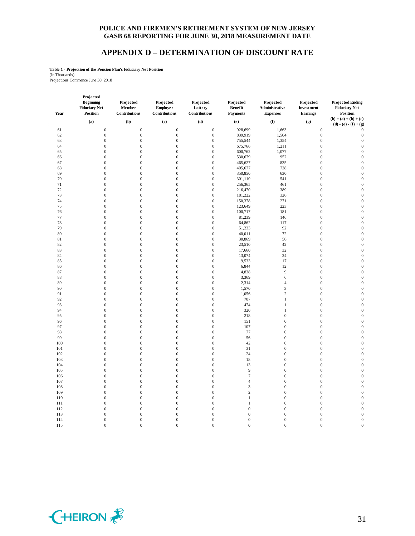## **APPENDIX D – DETERMINATION OF DISCOUNT RATE**

**Table 1 - Projection of the Pension Plan's Fiduciary Net Position**

(In Thousands) Projections Commence June 30, 2018

| Year | Projected<br><b>Beginning</b><br><b>Fiduciary Net</b><br><b>Position</b> | Projected<br>Member<br>Contributions | Projected<br>Employer<br>Contributions | Projected<br>Lottery<br>Contributions | Projected<br><b>Benefit</b><br><b>Payments</b> | Projected<br>Administrative<br><b>Expenses</b> | Projected<br>Investment<br>Earnings | <b>Projected Ending</b><br><b>Fiduciary Net</b><br><b>Position</b> |
|------|--------------------------------------------------------------------------|--------------------------------------|----------------------------------------|---------------------------------------|------------------------------------------------|------------------------------------------------|-------------------------------------|--------------------------------------------------------------------|
|      | (a)                                                                      | (b)                                  | (c)                                    | (d)                                   | (e)                                            | (f)                                            | (g)                                 | $(h) = (a) + (b) + (c)$<br>$+ (d) - (e) - (f) + (g)$               |
|      | $\boldsymbol{0}$                                                         |                                      | $\mathbf{0}$                           |                                       |                                                |                                                | $\mathbf{0}$                        | $\theta$                                                           |
| 61   |                                                                          | $\boldsymbol{0}$                     |                                        | $\boldsymbol{0}$                      | 928,699                                        | 1,663                                          |                                     |                                                                    |
| 62   | $\overline{0}$                                                           | $\boldsymbol{0}$                     | $\mathbf{0}$                           | $\boldsymbol{0}$                      | 839,919                                        | 1,504                                          | $\mathbf{0}$                        | $\boldsymbol{0}$                                                   |
| 63   | $\boldsymbol{0}$                                                         | $\boldsymbol{0}$                     | $\mathbf{0}$                           | $\boldsymbol{0}$                      | 755,544                                        | 1,354                                          | $\mathbf{0}$                        | $\boldsymbol{0}$                                                   |
| 64   | $\boldsymbol{0}$                                                         | $\boldsymbol{0}$                     | $\boldsymbol{0}$                       | $\boldsymbol{0}$                      | 675,766                                        | 1,211                                          | $\boldsymbol{0}$                    | $\mathbf{0}$                                                       |
| 65   | $\boldsymbol{0}$                                                         | $\boldsymbol{0}$                     | $\mathbf{0}$                           | $\boldsymbol{0}$                      | 600,762                                        | 1,077                                          | $\mathbf{0}$                        | $\mathbf{0}$                                                       |
| 66   | $\boldsymbol{0}$                                                         | $\overline{0}$                       | $\mathbf{0}$                           | $\boldsymbol{0}$                      | 530,679                                        | 952                                            | $\boldsymbol{0}$                    | $\mathbf{0}$                                                       |
| 67   | $\boldsymbol{0}$                                                         | $\boldsymbol{0}$                     | $\boldsymbol{0}$                       | $\boldsymbol{0}$                      | 465,627                                        | 835                                            | $\boldsymbol{0}$                    | $\mathbf{0}$                                                       |
| 68   | $\boldsymbol{0}$                                                         | $\boldsymbol{0}$                     | $\boldsymbol{0}$                       | $\boldsymbol{0}$                      | 405,677                                        | 728                                            | $\boldsymbol{0}$                    | $\mathbf{0}$                                                       |
| 69   | $\boldsymbol{0}$                                                         | $\boldsymbol{0}$                     | $\boldsymbol{0}$                       | $\boldsymbol{0}$                      | 350,850                                        | 630                                            | $\boldsymbol{0}$                    | $\boldsymbol{0}$                                                   |
| 70   | $\overline{0}$                                                           | $\boldsymbol{0}$                     | $\boldsymbol{0}$                       | $\boldsymbol{0}$                      | 301,110                                        | 541                                            | $\boldsymbol{0}$                    | $\boldsymbol{0}$                                                   |
| 71   | $\overline{0}$                                                           | $\overline{0}$                       | $\overline{0}$                         | $\mathbf{0}$                          | 256,365                                        | 461                                            | $\overline{0}$                      | $\boldsymbol{0}$                                                   |
| 72   | $\mathbf{0}$                                                             | $\mathbf{0}$                         | $\mathbf{0}$                           | $\mathbf{0}$                          | 216,470                                        | 389                                            | $\mathbf{0}$                        | $\boldsymbol{0}$                                                   |
| 73   | $\overline{0}$                                                           | $\overline{0}$                       | $\mathbf{0}$                           | $\mathbf{0}$                          | 181,222                                        | 326                                            | $\overline{0}$                      | $\mathbf{0}$                                                       |
| 74   | $\boldsymbol{0}$                                                         | $\boldsymbol{0}$                     | $\mathbf{0}$                           | $\boldsymbol{0}$                      | 150,378                                        | 271                                            | $\boldsymbol{0}$                    | $\mathbf{0}$                                                       |
| 75   | $\boldsymbol{0}$                                                         | $\mathbf 0$                          | $\boldsymbol{0}$                       | $\boldsymbol{0}$                      | 123,649                                        | 223                                            | $\boldsymbol{0}$                    | $\mathbf{0}$                                                       |
| 76   | $\boldsymbol{0}$                                                         | $\boldsymbol{0}$                     | $\mathbf{0}$                           | $\boldsymbol{0}$                      | 100,717                                        | 181                                            | $\boldsymbol{0}$                    | $\boldsymbol{0}$                                                   |
| 77   | $\boldsymbol{0}$                                                         | $\boldsymbol{0}$                     | $\boldsymbol{0}$                       | $\boldsymbol{0}$                      | 81,239                                         | 146                                            | $\boldsymbol{0}$                    | $\mathbf{0}$                                                       |
| 78   | $\boldsymbol{0}$                                                         | $\boldsymbol{0}$                     | $\boldsymbol{0}$                       | $\boldsymbol{0}$                      | 64,862                                         | 117                                            | $\boldsymbol{0}$                    | $\mathbf{0}$                                                       |
| 79   | $\boldsymbol{0}$                                                         | $\boldsymbol{0}$                     | $\boldsymbol{0}$                       | $\boldsymbol{0}$                      | 51,233                                         | 92                                             | $\boldsymbol{0}$                    | $\mathbf{0}$                                                       |
|      |                                                                          |                                      |                                        |                                       |                                                |                                                |                                     |                                                                    |
| 80   | $\boldsymbol{0}$                                                         | $\boldsymbol{0}$                     | $\mathbf{0}$                           | $\boldsymbol{0}$                      | 40,011                                         | $72\,$                                         | $\mathbf{0}$                        | $\mathbf{0}$                                                       |
| 81   | $\boldsymbol{0}$                                                         | $\boldsymbol{0}$                     | $\boldsymbol{0}$                       | $\boldsymbol{0}$                      | 30,869                                         | 56                                             | $\boldsymbol{0}$                    | $\boldsymbol{0}$                                                   |
| 82   | $\boldsymbol{0}$                                                         | $\boldsymbol{0}$                     | $\boldsymbol{0}$                       | $\boldsymbol{0}$                      | 23,510                                         | 42                                             | $\boldsymbol{0}$                    | $\boldsymbol{0}$                                                   |
| 83   | $\boldsymbol{0}$                                                         | $\boldsymbol{0}$                     | $\mathbf{0}$                           | $\mathbf{0}$                          | 17,660                                         | 32                                             | $\mathbf{0}$                        | $\overline{0}$                                                     |
| 84   | $\boldsymbol{0}$                                                         | $\mathbf 0$                          | $\boldsymbol{0}$                       | $\boldsymbol{0}$                      | 13,074                                         | 24                                             | $\boldsymbol{0}$                    | $\mathbf{0}$                                                       |
| 85   | $\boldsymbol{0}$                                                         | $\boldsymbol{0}$                     | $\mathbf{0}$                           | $\boldsymbol{0}$                      | 9,533                                          | 17                                             | $\overline{0}$                      | $\boldsymbol{0}$                                                   |
| 86   | $\boldsymbol{0}$                                                         | $\boldsymbol{0}$                     | $\boldsymbol{0}$                       | $\boldsymbol{0}$                      | 6,844                                          | 12                                             | $\boldsymbol{0}$                    | $\overline{0}$                                                     |
| 87   | $\boldsymbol{0}$                                                         | $\boldsymbol{0}$                     | $\boldsymbol{0}$                       | $\boldsymbol{0}$                      | 4,838                                          | 9                                              | $\boldsymbol{0}$                    | $\overline{0}$                                                     |
| 88   | $\boldsymbol{0}$                                                         | $\boldsymbol{0}$                     | $\boldsymbol{0}$                       | $\boldsymbol{0}$                      | 3,369                                          | 6                                              | $\boldsymbol{0}$                    | $\mathbf{0}$                                                       |
| 89   | $\boldsymbol{0}$                                                         | $\boldsymbol{0}$                     | $\boldsymbol{0}$                       | $\boldsymbol{0}$                      | 2,314                                          | $\overline{4}$                                 | $\boldsymbol{0}$                    | $\mathbf{0}$                                                       |
| 90   | $\boldsymbol{0}$                                                         | $\boldsymbol{0}$                     | $\mathbf{0}$                           | $\boldsymbol{0}$                      | 1,570                                          | $\mathfrak{Z}$                                 | $\mathbf{0}$                        | $\mathbf{0}$                                                       |
| 91   | $\boldsymbol{0}$                                                         | $\boldsymbol{0}$                     | $\mathbf{0}$                           | $\boldsymbol{0}$                      | 1,056                                          | $\sqrt{2}$                                     | $\boldsymbol{0}$                    | $\mathbf{0}$                                                       |
| 92   | $\overline{0}$                                                           | $\boldsymbol{0}$                     | $\mathbf{0}$                           | $\boldsymbol{0}$                      | 707                                            | $\mathbf{1}$                                   | $\mathbf{0}$                        | $\mathbf{0}$                                                       |
| 93   | $\overline{0}$                                                           | $\boldsymbol{0}$                     | $\mathbf{0}$                           | $\boldsymbol{0}$                      | 474                                            | $\mathbf{1}$                                   | $\boldsymbol{0}$                    | $\mathbf{0}$                                                       |
| 94   | 0                                                                        | $\boldsymbol{0}$                     | $\mathbf{0}$                           | $\boldsymbol{0}$                      | 320                                            | $\mathbf{1}$                                   | $\boldsymbol{0}$                    | $\boldsymbol{0}$                                                   |
| 95   | $\boldsymbol{0}$                                                         | $\boldsymbol{0}$                     | $\boldsymbol{0}$                       | $\boldsymbol{0}$                      | 218                                            | $\boldsymbol{0}$                               | $\boldsymbol{0}$                    | $\overline{0}$                                                     |
| 96   | 0                                                                        | $\boldsymbol{0}$                     | $\boldsymbol{0}$                       | $\boldsymbol{0}$                      | 151                                            | $\boldsymbol{0}$                               | $\boldsymbol{0}$                    | $\overline{0}$                                                     |
| 97   | $\boldsymbol{0}$                                                         | $\boldsymbol{0}$                     | $\boldsymbol{0}$                       | $\boldsymbol{0}$                      | 107                                            | $\boldsymbol{0}$                               | $\boldsymbol{0}$                    | $\boldsymbol{0}$                                                   |
| 98   | $\boldsymbol{0}$                                                         | $\boldsymbol{0}$                     | $\boldsymbol{0}$                       | $\boldsymbol{0}$                      | 77                                             | $\boldsymbol{0}$                               | $\boldsymbol{0}$                    | $\boldsymbol{0}$                                                   |
| 99   | $\boldsymbol{0}$                                                         | $\boldsymbol{0}$                     | $\boldsymbol{0}$                       | $\boldsymbol{0}$                      | 56                                             | $\boldsymbol{0}$                               | $\boldsymbol{0}$                    | $\boldsymbol{0}$                                                   |
| 100  | $\boldsymbol{0}$                                                         | $\boldsymbol{0}$                     | $\boldsymbol{0}$                       | $\boldsymbol{0}$                      | 42                                             | $\boldsymbol{0}$                               | $\boldsymbol{0}$                    | $\mathbf{0}$                                                       |
| 101  | $\overline{0}$                                                           | $\boldsymbol{0}$                     | $\mathbf{0}$                           | $\boldsymbol{0}$                      | 31                                             | $\boldsymbol{0}$                               | $\boldsymbol{0}$                    | $\mathbf{0}$                                                       |
| 102  |                                                                          | $\mathbf 0$                          | $\boldsymbol{0}$                       | $\boldsymbol{0}$                      | 24                                             | $\boldsymbol{0}$                               | $\boldsymbol{0}$                    | $\mathbf{0}$                                                       |
|      | $\boldsymbol{0}$                                                         |                                      |                                        |                                       |                                                |                                                |                                     |                                                                    |
| 103  | $\boldsymbol{0}$                                                         | $\boldsymbol{0}$                     | $\boldsymbol{0}$                       | $\boldsymbol{0}$                      | 18                                             | $\boldsymbol{0}$                               | $\boldsymbol{0}$                    | $\mathbf{0}$                                                       |
| 104  | $\overline{0}$                                                           | $\boldsymbol{0}$                     | $\mathbf{0}$                           | $\boldsymbol{0}$                      | 13                                             | $\boldsymbol{0}$                               | $\boldsymbol{0}$                    | $\mathbf{0}$                                                       |
| 105  | $\overline{0}$                                                           | $\overline{0}$                       | $\mathbf{0}$                           | $\boldsymbol{0}$                      | 9                                              | $\boldsymbol{0}$                               | $\boldsymbol{0}$                    | $\mathbf{0}$                                                       |
| 106  | $\boldsymbol{0}$                                                         | $\boldsymbol{0}$                     | $\boldsymbol{0}$                       | $\boldsymbol{0}$                      | $\tau$                                         | $\boldsymbol{0}$                               | $\boldsymbol{0}$                    | $\mathbf{0}$                                                       |
| 107  | $\boldsymbol{0}$                                                         | $\boldsymbol{0}$                     | $\boldsymbol{0}$                       | $\boldsymbol{0}$                      | $\overline{4}$                                 | $\boldsymbol{0}$                               | $\boldsymbol{0}$                    | $\mathbf{0}$                                                       |
| 108  | $\boldsymbol{0}$                                                         | $\boldsymbol{0}$                     | $\boldsymbol{0}$                       | $\boldsymbol{0}$                      | $\overline{3}$                                 | $\boldsymbol{0}$                               | $\boldsymbol{0}$                    | $\overline{0}$                                                     |
| 109  | $\boldsymbol{0}$                                                         | $\boldsymbol{0}$                     | $\mathbf{0}$                           | $\boldsymbol{0}$                      | $\overline{2}$                                 | $\boldsymbol{0}$                               | $\boldsymbol{0}$                    | $\overline{0}$                                                     |
| 110  | $\boldsymbol{0}$                                                         | $\boldsymbol{0}$                     | $\boldsymbol{0}$                       | $\boldsymbol{0}$                      | $\,1\,$                                        | $\boldsymbol{0}$                               | $\boldsymbol{0}$                    | $\mathbf{0}$                                                       |
| 111  | $\boldsymbol{0}$                                                         | $\boldsymbol{0}$                     | $\boldsymbol{0}$                       | $\boldsymbol{0}$                      | $\,1\,$                                        | $\boldsymbol{0}$                               | $\boldsymbol{0}$                    | $\boldsymbol{0}$                                                   |
| 112  | $\boldsymbol{0}$                                                         | $\boldsymbol{0}$                     | $\boldsymbol{0}$                       | $\boldsymbol{0}$                      | $\boldsymbol{0}$                               | $\boldsymbol{0}$                               | $\boldsymbol{0}$                    | $\boldsymbol{0}$                                                   |
| 113  | $\overline{0}$                                                           | $\boldsymbol{0}$                     | $\boldsymbol{0}$                       | $\boldsymbol{0}$                      | $\mathbf{0}$                                   | $\boldsymbol{0}$                               | $\boldsymbol{0}$                    | $\boldsymbol{0}$                                                   |
| 114  | $\mathbf{0}$                                                             | $\overline{0}$                       | $\overline{0}$                         | $\boldsymbol{0}$                      | $\mathbf{0}$                                   | $\boldsymbol{0}$                               | $\mathbf{0}$                        | $\boldsymbol{0}$                                                   |
| 115  | $\Omega$                                                                 | $\theta$                             | $\Omega$                               | $\theta$                              | $\Omega$                                       | $\overline{0}$                                 | $\Omega$                            | $\overline{0}$                                                     |

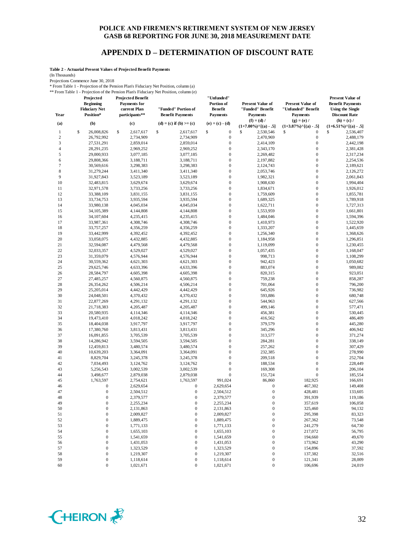## **APPENDIX D – DETERMINATION OF DISCOUNT RATE**

**Table 2 - Actuarial Present Values of Projected Benefit Payments**

(In Thousands)

Projections Commence June 30, 2018

\* From Table 1 - Projection of the Pension Plan's Fiduciary Net Position, column (a) \*\* From Table 1 - Projection of the Pension Plan's Fiduciary Net Position, column (e)

| Year             | Projected<br><b>Beginning</b><br><b>Fiduciary Net</b><br>Position* | <b>Projected Benefit</b><br><b>Payments</b> for<br>current Plan<br>participants** | "Funded" Portion of<br><b>Benefit Payments</b> | "Unfunded"<br>Portion of<br><b>Benefit</b><br><b>Payments</b> | <b>Present Value of</b><br>"Funded" Benefit<br><b>Payments</b> | <b>Present Value of</b><br>"Unfunded" Benefit<br><b>Payments</b> | <b>Present Value of</b><br><b>Benefit Payments</b><br><b>Using the Single</b><br><b>Discount Rate</b> |
|------------------|--------------------------------------------------------------------|-----------------------------------------------------------------------------------|------------------------------------------------|---------------------------------------------------------------|----------------------------------------------------------------|------------------------------------------------------------------|-------------------------------------------------------------------------------------------------------|
| (a)              | (b)                                                                | (c)                                                                               | (d) = (c) if (b) >= (c)                        | $(e) = (c) - (d)$                                             | $(f) = (d) /$<br>$(1+7.00\%)$ <sup>^</sup> [(a) - .5]          | $(g) = (e) /$<br>$(1+3.87\%)$ <sup>^</sup> [(a) - .5]            | $(h) = (c) /$<br>$(1+6.51\%)$ <sup>^</sup> [(a) - .5]                                                 |
| $\mathbf{1}$     | \$<br>26,008,826                                                   | \$<br>2,617,617                                                                   | \$<br>2,617,617                                | \$<br>$\boldsymbol{0}$                                        | \$<br>2,530,546                                                | \$<br>$\boldsymbol{0}$                                           | \$<br>2,536,407                                                                                       |
| $\sqrt{2}$       | 26,792,992                                                         | 2,734,909                                                                         | 2,734,909                                      | $\boldsymbol{0}$                                              | 2,470,969                                                      | $\boldsymbol{0}$                                                 | 2,488,179                                                                                             |
| $\mathfrak z$    | 27,531,291                                                         | 2,859,014                                                                         | 2,859,014                                      | $\boldsymbol{0}$                                              | 2,414,109                                                      | $\boldsymbol{0}$                                                 | 2,442,198                                                                                             |
| $\overline{4}$   | 28,291,235                                                         | 2,969,252                                                                         | 2,969,252                                      | $\boldsymbol{0}$                                              | 2,343,170                                                      | $\boldsymbol{0}$                                                 | 2,381,428                                                                                             |
| 5                | 29,000,933                                                         | 3,077,185                                                                         | 3,077,185                                      | $\boldsymbol{0}$                                              | 2,269,482                                                      | $\boldsymbol{0}$                                                 | 2,317,234                                                                                             |
| 6                | 29,808,366                                                         | 3,188,711                                                                         | 3,188,711                                      | $\mathbf{0}$                                                  | 2,197,882                                                      | $\boldsymbol{0}$                                                 | 2,254,536                                                                                             |
| $\boldsymbol{7}$ | 30,569,616                                                         | 3,298,383                                                                         | 3,298,383                                      | $\boldsymbol{0}$                                              | 2,124,743                                                      | $\boldsymbol{0}$                                                 | 2,189,621                                                                                             |
| 8                | 31,279,244                                                         | 3,411,340                                                                         | 3,411,340                                      | $\boldsymbol{0}$                                              | 2,053,746                                                      | $\boldsymbol{0}$                                                 | 2,126,272                                                                                             |
| 9                | 31,927,843                                                         | 3,523,189                                                                         | 3,523,189                                      | $\boldsymbol{0}$                                              | 1,982,321                                                      | $\boldsymbol{0}$                                                 | 2,061,843                                                                                             |
| $10$             | 32,483,815                                                         | 3,629,674                                                                         | 3,629,674                                      | $\mathbf{0}$                                                  | 1,908,630                                                      | $\boldsymbol{0}$                                                 | 1,994,404                                                                                             |
| 11               | 32,971,578                                                         | 3,733,256                                                                         | 3,733,256                                      | $\boldsymbol{0}$                                              | 1,834,671                                                      | $\boldsymbol{0}$                                                 | 1,926,012                                                                                             |
| 12               | 33,388,109                                                         | 3,831,155                                                                         | 3,831,155                                      | $\boldsymbol{0}$                                              | 1,759,609                                                      | $\boldsymbol{0}$                                                 | 1,855,781                                                                                             |
| 13               | 33,734,753                                                         | 3,935,594                                                                         | 3,935,594                                      | $\boldsymbol{0}$                                              | 1,689,325                                                      | $\boldsymbol{0}$                                                 | 1,789,918                                                                                             |
| 14               | 33,980,138                                                         | 4,045,034                                                                         | 4,045,034                                      | $\boldsymbol{0}$                                              | 1,622,711                                                      | $\boldsymbol{0}$                                                 | 1,727,313                                                                                             |
| 15               | 34, 105, 389                                                       | 4,144,808                                                                         | 4,144,808                                      | $\mathbf{0}$                                                  | 1,553,959                                                      | $\boldsymbol{0}$                                                 | 1,661,801                                                                                             |
| 16               | 34,107,604                                                         | 4,235,415                                                                         | 4,235,415                                      | $\boldsymbol{0}$                                              | 1,484,046                                                      | $\boldsymbol{0}$                                                 | 1,594,396                                                                                             |
| 17               | 33,987,361                                                         | 4,308,746                                                                         | 4,308,746                                      | $\boldsymbol{0}$                                              | 1,410,973                                                      | $\boldsymbol{0}$                                                 | 1,522,920                                                                                             |
| 18               | 33,757,257                                                         | 4,356,259                                                                         | 4,356,259                                      | $\boldsymbol{0}$                                              | 1,333,207                                                      | $\boldsymbol{0}$                                                 | 1,445,659                                                                                             |
| 19               | 33,442,999                                                         | 4,392,452                                                                         | 4,392,452                                      | $\mathbf{0}$                                                  | 1,256,340                                                      | $\boldsymbol{0}$                                                 | 1,368,626                                                                                             |
| 20               | 33,058,075                                                         | 4,432,885                                                                         | 4,432,885                                      | $\boldsymbol{0}$                                              | 1,184,958                                                      | $\boldsymbol{0}$                                                 | 1,296,851                                                                                             |
| 21               | 32,594,087                                                         | 4,479,568                                                                         | 4,479,568                                      | $\boldsymbol{0}$                                              | 1,119,099                                                      | $\boldsymbol{0}$                                                 | 1,230,455                                                                                             |
| 22               | 32,033,357                                                         | 4,529,027                                                                         | 4,529,027                                      | $\boldsymbol{0}$                                              | 1,057,435                                                      | $\boldsymbol{0}$                                                 | 1,168,047                                                                                             |
| 23               | 31,359,079                                                         | 4,576,944                                                                         | 4,576,944                                      | $\boldsymbol{0}$                                              | 998,713                                                        | $\boldsymbol{0}$                                                 | 1,108,299                                                                                             |
| 24               | 30,559,362                                                         | 4,621,303                                                                         | 4,621,303                                      | $\mathbf{0}$                                                  | 942,423                                                        | $\boldsymbol{0}$                                                 | 1,050,682                                                                                             |
| 25               | 29,625,746                                                         | 4,633,396                                                                         | 4,633,396                                      | $\mathbf{0}$                                                  | 883,074                                                        | $\boldsymbol{0}$                                                 | 989,082                                                                                               |
| 26               | 28,584,797                                                         | 4,605,398                                                                         | 4,605,398                                      | $\boldsymbol{0}$                                              | 820,315                                                        | $\boldsymbol{0}$                                                 | 923,051                                                                                               |
| 27               | 27,485,257                                                         | 4,560,875                                                                         | 4,560,875                                      | $\boldsymbol{0}$                                              | 759,238                                                        | $\boldsymbol{0}$                                                 | 858,287                                                                                               |
| 28               | 26,354,262                                                         | 4,506,214                                                                         | 4,506,214                                      | $\boldsymbol{0}$                                              | 701,064                                                        | $\boldsymbol{0}$                                                 | 796,200                                                                                               |
| 29               | 25,205,014                                                         | 4,442,429                                                                         | 4,442,429                                      | $\mathbf{0}$                                                  | 645,926                                                        | $\boldsymbol{0}$                                                 | 736,982                                                                                               |
| 30               | 24,048,501                                                         | 4,370,432                                                                         | 4,370,432                                      | $\boldsymbol{0}$                                              | 593,886                                                        | $\boldsymbol{0}$                                                 | 680,748                                                                                               |
| 31               | 22,877,269                                                         | 4,291,132                                                                         | 4,291,132                                      | $\boldsymbol{0}$                                              | 544,963                                                        | $\boldsymbol{0}$                                                 | 627,566                                                                                               |
| 32               | 21,718,383                                                         | 4,205,487                                                                         | 4,205,487                                      | $\boldsymbol{0}$                                              | 499,146                                                        | $\boldsymbol{0}$                                                 | 577,471                                                                                               |
| 33               | 20,580,935                                                         | 4,114,346                                                                         | 4,114,346                                      | $\mathbf{0}$                                                  | 456,381                                                        | $\boldsymbol{0}$                                                 | 530,445                                                                                               |
| 34               | 19,473,410                                                         | 4,018,242                                                                         | 4,018,242                                      | $\mathbf{0}$                                                  | 416,562                                                        | $\boldsymbol{0}$                                                 | 486,409                                                                                               |
| 35               | 18,404,038                                                         | 3,917,797                                                                         | 3,917,797                                      | $\boldsymbol{0}$                                              | 379,579                                                        | $\boldsymbol{0}$                                                 | 445,280                                                                                               |
| 36               | 17,380,760                                                         | 3,813,431                                                                         | 3,813,431                                      | $\boldsymbol{0}$                                              | 345,296                                                        | $\boldsymbol{0}$                                                 | 406,942                                                                                               |
| 37               | 16,091,855                                                         | 3,705,539                                                                         | 3,705,539                                      | $\boldsymbol{0}$                                              | 313,577                                                        | $\boldsymbol{0}$                                                 | 371,274                                                                                               |
| 38               | 14,286,942                                                         | 3,594,505                                                                         | 3,594,505                                      | $\mathbf{0}$                                                  | 284,281                                                        | $\boldsymbol{0}$                                                 | 338,149                                                                                               |
| 39               | 12,459,813                                                         | 3,480,574                                                                         | 3,480,574                                      | $\boldsymbol{0}$                                              | 257,262                                                        | $\boldsymbol{0}$                                                 | 307,429                                                                                               |
| 40               | 10,639,203                                                         | 3,364,091                                                                         | 3,364,091                                      | $\boldsymbol{0}$                                              | 232,385                                                        | $\boldsymbol{0}$                                                 | 278,990                                                                                               |
| 41               | 8,829,704                                                          | 3,245,378                                                                         | 3,245,378                                      | $\boldsymbol{0}$                                              | 209,518                                                        | $\boldsymbol{0}$                                                 | 252,704                                                                                               |
| 42               | 7,034,493                                                          | 3,124,762                                                                         | 3,124,762                                      | $\mathbf{0}$                                                  | 188,534                                                        | $\boldsymbol{0}$                                                 | 228,449                                                                                               |
| 43               | 5,256,543                                                          | 3,002,539                                                                         | 3,002,539                                      | $\boldsymbol{0}$                                              | 169,308                                                        | $\boldsymbol{0}$                                                 | 206,104                                                                                               |
| 44               | 3,498,677                                                          | 2,879,038                                                                         | 2,879,038                                      | $\mathbf{0}$                                                  | 151,724                                                        | $\boldsymbol{0}$                                                 | 185,554                                                                                               |
| 45               | 1,763,597                                                          | 2,754,621                                                                         | 1,763,597                                      | 991,024                                                       | 86,860                                                         | 182,925                                                          | 166,691                                                                                               |
| 46               | $\boldsymbol{0}$                                                   | 2,629,654                                                                         | $\boldsymbol{0}$                               | 2,629,654                                                     | $\boldsymbol{0}$                                               | 467,302                                                          | 149,408                                                                                               |
| 47               | $\overline{0}$                                                     | 2,504,512                                                                         | $\mathbf{0}$                                   | 2,504,512                                                     | $\boldsymbol{0}$                                               | 428,481                                                          | 133,605                                                                                               |
| 48               | $\boldsymbol{0}$                                                   | 2,379,577                                                                         | $\boldsymbol{0}$                               | 2,379,577                                                     | 0                                                              | 391,939                                                          | 119,186                                                                                               |
| 49               | $\boldsymbol{0}$                                                   | 2,255,234                                                                         | $\boldsymbol{0}$                               | 2,255,234                                                     | $\boldsymbol{0}$                                               | 357,619                                                          | 106,058                                                                                               |
| 50               | $\boldsymbol{0}$                                                   | 2,131,863                                                                         | $\boldsymbol{0}$                               | 2,131,863                                                     | $\boldsymbol{0}$                                               | 325,460                                                          | 94,132                                                                                                |
| 51               | $\boldsymbol{0}$                                                   | 2,009,827                                                                         | $\boldsymbol{0}$                               | 2,009,827                                                     | $\boldsymbol{0}$                                               | 295,398                                                          | 83,323                                                                                                |
| 52               | $\boldsymbol{0}$                                                   | 1,889,475                                                                         | $\boldsymbol{0}$                               | 1,889,475                                                     | $\boldsymbol{0}$                                               | 267,362                                                          | 73,548                                                                                                |
| 53               | $\boldsymbol{0}$                                                   | 1,771,133                                                                         | $\boldsymbol{0}$                               | 1,771,133                                                     | $\boldsymbol{0}$                                               | 241,279                                                          | 64,730                                                                                                |
| 54               | $\boldsymbol{0}$                                                   | 1,655,103                                                                         | $\boldsymbol{0}$                               | 1,655,103                                                     | $\boldsymbol{0}$                                               | 217,072                                                          | 56,795                                                                                                |
| 55               | $\boldsymbol{0}$                                                   | 1,541,659                                                                         | $\boldsymbol{0}$                               | 1,541,659                                                     | $\boldsymbol{0}$                                               | 194,660                                                          | 49,670                                                                                                |
| 56               | $\boldsymbol{0}$                                                   | 1,431,053                                                                         | 0                                              | 1,431,053                                                     | $\boldsymbol{0}$                                               | 173,962                                                          | 43,290                                                                                                |
| 57               | $\boldsymbol{0}$                                                   | 1,323,529                                                                         | 0                                              | 1,323,529                                                     | $\boldsymbol{0}$                                               | 154,896                                                          | 37,592                                                                                                |
| 58               | $\boldsymbol{0}$                                                   | 1,219,307                                                                         | $\boldsymbol{0}$                               | 1,219,307                                                     | $\boldsymbol{0}$                                               | 137,382                                                          | 32,516                                                                                                |
| 59               | $\boldsymbol{0}$                                                   | 1,118,614                                                                         | $\boldsymbol{0}$                               | 1,118,614                                                     | $\boldsymbol{0}$                                               | 121,341                                                          | 28,009                                                                                                |
| 60               | $\boldsymbol{0}$                                                   | 1,021,671                                                                         | $\boldsymbol{0}$                               | 1,021,671                                                     | $\boldsymbol{0}$                                               | 106,696                                                          | 24,019                                                                                                |

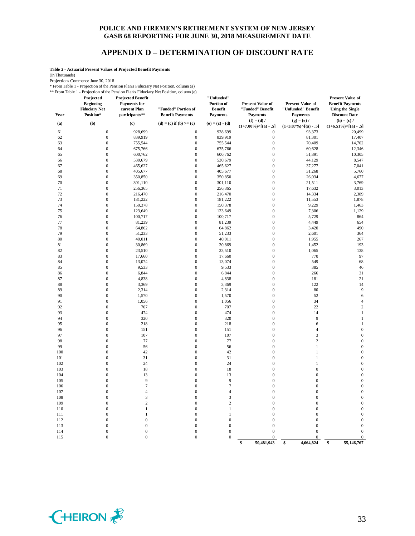## **APPENDIX D – DETERMINATION OF DISCOUNT RATE**

**Table 2 - Actuarial Present Values of Projected Benefit Payments**

(In Thousands)

Projections Commence June 30, 2018

\* From Table 1 - Projection of the Pension Plan's Fiduciary Net Position, column (a)

\*\* From Table 1 - Projection of the Pension Plan's Fiduciary Net Position, column (e)

| Year       | Projected<br><b>Beginning</b><br><b>Fiduciary Net</b><br>Position* | <b>Projected Benefit</b><br><b>Payments</b> for<br>current Plan<br>participants** | Troin Table 1 - I rojection of the Fension Frants Fruncial y Net Fostuon, column (e)<br>"Funded" Portion of<br><b>Benefit Payments</b> | "Unfunded"<br>Portion of<br>Benefit<br><b>Payments</b> | <b>Present Value of</b><br>"Funded" Benefit<br><b>Payments</b> | <b>Present Value of</b><br>"Unfunded" Benefit<br><b>Payments</b> | <b>Present Value of</b><br><b>Benefit Payments</b><br><b>Using the Single</b><br><b>Discount Rate</b> |
|------------|--------------------------------------------------------------------|-----------------------------------------------------------------------------------|----------------------------------------------------------------------------------------------------------------------------------------|--------------------------------------------------------|----------------------------------------------------------------|------------------------------------------------------------------|-------------------------------------------------------------------------------------------------------|
| (a)        | (b)                                                                | (c)                                                                               | $(d) = (c)$ if $(b) >= (c)$                                                                                                            | $(e) = (c) - (d)$                                      | $(f) = (d) /$<br>$(1+7.00\%)$ <sup>^</sup> [(a) - .5]          | $(g) = (e) /$<br>$(1+3.87\%)$ <sup>^</sup> [(a) - .5]            | $(h) = (c) /$<br>$(1+6.51\%)$ <sup>{</sup> [(a) - .5]                                                 |
| 61         | $\boldsymbol{0}$                                                   | 928,699                                                                           | $\boldsymbol{0}$                                                                                                                       | 928,699                                                | $\boldsymbol{0}$                                               | 93,373                                                           | 20,499                                                                                                |
| 62         | $\mathbf{0}$                                                       | 839,919                                                                           | $\boldsymbol{0}$                                                                                                                       | 839,919                                                | $\boldsymbol{0}$                                               | 81,301                                                           | 17,407                                                                                                |
| 63         | $\boldsymbol{0}$                                                   | 755,544                                                                           | $\boldsymbol{0}$                                                                                                                       | 755,544                                                | $\boldsymbol{0}$                                               | 70,409                                                           | 14,702                                                                                                |
| 64         | $\mathbf{0}$                                                       | 675,766                                                                           | $\boldsymbol{0}$                                                                                                                       | 675,766                                                | $\boldsymbol{0}$                                               | 60,628                                                           | 12,346                                                                                                |
| 65         | $\mathbf{0}$                                                       | 600,762                                                                           | $\boldsymbol{0}$                                                                                                                       | 600,762                                                | $\boldsymbol{0}$                                               | 51,891                                                           | 10,305                                                                                                |
| 66         | $\mathbf{0}$                                                       | 530,679                                                                           | $\boldsymbol{0}$                                                                                                                       | 530,679                                                | $\boldsymbol{0}$                                               | 44,129                                                           | 8,547                                                                                                 |
| 67         | $\mathbf{0}$                                                       | 465,627                                                                           | $\boldsymbol{0}$                                                                                                                       | 465,627                                                | $\boldsymbol{0}$                                               | 37,277                                                           | 7,041                                                                                                 |
| 68         | $\mathbf{0}$                                                       | 405,677                                                                           | $\boldsymbol{0}$                                                                                                                       | 405,677                                                | $\boldsymbol{0}$                                               | 31,268                                                           | 5,760                                                                                                 |
| 69         | $\overline{0}$                                                     | 350,850                                                                           | $\boldsymbol{0}$                                                                                                                       | 350,850                                                | $\overline{0}$                                                 | 26,034                                                           | 4,677                                                                                                 |
| 70         | $\mathbf{0}$                                                       | 301,110                                                                           | $\boldsymbol{0}$                                                                                                                       | 301,110                                                | $\overline{0}$                                                 | 21,511                                                           | 3,769                                                                                                 |
| 71         | $\mathbf{0}$                                                       | 256,365                                                                           | $\boldsymbol{0}$                                                                                                                       | 256,365                                                | $\boldsymbol{0}$                                               | 17,632                                                           | 3,013                                                                                                 |
| 72         | $\mathbf{0}$                                                       | 216,470                                                                           | $\boldsymbol{0}$                                                                                                                       | 216,470                                                | $\boldsymbol{0}$                                               | 14,334                                                           | 2,389                                                                                                 |
| 73         | $\mathbf{0}$                                                       | 181,222                                                                           | $\boldsymbol{0}$                                                                                                                       | 181,222                                                | $\boldsymbol{0}$                                               | 11,553                                                           | 1,878                                                                                                 |
| 74         | $\overline{0}$                                                     | 150,378                                                                           | $\mathbf{0}$                                                                                                                           | 150,378                                                | $\overline{0}$                                                 | 9,229                                                            | 1,463                                                                                                 |
| 75         | $\mathbf{0}$                                                       | 123,649                                                                           | $\boldsymbol{0}$                                                                                                                       | 123,649                                                | $\overline{0}$                                                 | 7,306                                                            | 1,129                                                                                                 |
| 76         | $\mathbf{0}$                                                       | 100,717                                                                           | $\boldsymbol{0}$                                                                                                                       | 100,717                                                | $\boldsymbol{0}$<br>$\overline{0}$                             | 5,729                                                            | 864                                                                                                   |
| 77         | $\boldsymbol{0}$                                                   | 81,239                                                                            | $\boldsymbol{0}$<br>$\boldsymbol{0}$                                                                                                   | 81,239                                                 | $\overline{0}$                                                 | 4,449                                                            | 654                                                                                                   |
| 78<br>79   | $\boldsymbol{0}$<br>$\mathbf{0}$                                   | 64,862<br>51,233                                                                  | $\mathbf{0}$                                                                                                                           | 64,862<br>51,233                                       | $\overline{0}$                                                 | 3,420<br>2,601                                                   | 490<br>364                                                                                            |
| 80         | $\boldsymbol{0}$                                                   | 40,011                                                                            | $\boldsymbol{0}$                                                                                                                       | 40,011                                                 | $\overline{0}$                                                 | 1,955                                                            | 267                                                                                                   |
| 81         | $\mathbf{0}$                                                       | 30,869                                                                            | $\boldsymbol{0}$                                                                                                                       | 30,869                                                 | $\boldsymbol{0}$                                               | 1,452                                                            | 193                                                                                                   |
| 82         | $\mathbf{0}$                                                       | 23,510                                                                            | $\boldsymbol{0}$                                                                                                                       | 23,510                                                 | $\mathbf{0}$                                                   | 1,065                                                            | 138                                                                                                   |
| 83         | $\boldsymbol{0}$                                                   | 17,660                                                                            | $\boldsymbol{0}$                                                                                                                       | 17,660                                                 | $\boldsymbol{0}$                                               | 770                                                              | 97                                                                                                    |
| 84         | $\mathbf{0}$                                                       | 13,074                                                                            | $\boldsymbol{0}$                                                                                                                       | 13,074                                                 | $\boldsymbol{0}$                                               | 549                                                              | 68                                                                                                    |
| 85         | $\boldsymbol{0}$                                                   | 9,533                                                                             | $\boldsymbol{0}$                                                                                                                       | 9,533                                                  | $\mathbf{0}$                                                   | 385                                                              | 46                                                                                                    |
| 86         | $\mathbf{0}$                                                       | 6,844                                                                             | $\boldsymbol{0}$                                                                                                                       | 6,844                                                  | $\mathbf{0}$                                                   | 266                                                              | 31                                                                                                    |
| 87         | $\mathbf{0}$                                                       | 4,838                                                                             | $\boldsymbol{0}$                                                                                                                       | 4,838                                                  | $\mathbf{0}$                                                   | 181                                                              | 21                                                                                                    |
| 88         | $\mathbf{0}$                                                       | 3,369                                                                             | $\boldsymbol{0}$                                                                                                                       | 3,369                                                  | $\mathbf{0}$                                                   | 122                                                              | 14                                                                                                    |
| 89         | $\mathbf{0}$                                                       | 2,314                                                                             | $\boldsymbol{0}$                                                                                                                       | 2,314                                                  | $\overline{0}$                                                 | 80                                                               | 9                                                                                                     |
| 90         | $\mathbf{0}$                                                       | 1,570                                                                             | $\boldsymbol{0}$                                                                                                                       | 1,570                                                  | $\mathbf{0}$                                                   | 52                                                               | 6                                                                                                     |
| 91         | $\mathbf{0}$                                                       | 1,056                                                                             | $\boldsymbol{0}$                                                                                                                       | 1,056                                                  | $\mathbf{0}$                                                   | 34                                                               | $\overline{4}$                                                                                        |
| 92         | $\mathbf{0}$                                                       | 707                                                                               | $\mathbf{0}$                                                                                                                           | 707                                                    | $\overline{0}$                                                 | 22                                                               | $\overline{c}$                                                                                        |
| 93         | $\mathbf{0}$                                                       | 474                                                                               | $\boldsymbol{0}$                                                                                                                       | 474                                                    | $\mathbf{0}$                                                   | 14                                                               | $\mathbf{1}$                                                                                          |
| 94         | $\overline{0}$                                                     | 320                                                                               | $\mathbf{0}$                                                                                                                           | 320                                                    | $\overline{0}$                                                 | 9                                                                | $\mathbf{1}$                                                                                          |
| 95         | $\mathbf{0}$                                                       | 218                                                                               | $\mathbf{0}$                                                                                                                           | 218                                                    | $\overline{0}$                                                 | 6                                                                | $\mathbf{1}$                                                                                          |
| 96         | $\overline{0}$                                                     | 151                                                                               | $\boldsymbol{0}$                                                                                                                       | 151                                                    | $\overline{0}$                                                 | $\overline{4}$                                                   | $\mathbf{0}$                                                                                          |
| 97         | $\mathbf{0}$                                                       | 107                                                                               | $\mathbf{0}$                                                                                                                           | 107                                                    | $\overline{0}$                                                 | $\overline{\mathbf{3}}$                                          | $\mathbf{0}$                                                                                          |
| 98         | $\mathbf{0}$                                                       | 77                                                                                | $\boldsymbol{0}$                                                                                                                       | 77                                                     | $\overline{0}$                                                 | $\overline{c}$                                                   | $\mathbf{0}$                                                                                          |
| 99         | $\mathbf{0}$                                                       | 56                                                                                | $\mathbf{0}$                                                                                                                           | 56                                                     | $\overline{0}$                                                 | $\mathbf{1}$                                                     | $\boldsymbol{0}$                                                                                      |
| 100        | $\mathbf{0}$                                                       | 42                                                                                | $\mathbf{0}$                                                                                                                           | 42                                                     | $\mathbf{0}$                                                   | 1                                                                | $\boldsymbol{0}$                                                                                      |
| 101        | $\mathbf{0}$                                                       | 31                                                                                | $\mathbf{0}$                                                                                                                           | 31                                                     | $\mathbf{0}$                                                   | 1                                                                | $\boldsymbol{0}$                                                                                      |
| 102        | $\overline{0}$                                                     | 24                                                                                | $\mathbf{0}$                                                                                                                           | 24                                                     | $\overline{0}$                                                 | 1                                                                | $\boldsymbol{0}$                                                                                      |
| 103        | $\mathbf{0}$                                                       | 18                                                                                | $\boldsymbol{0}$                                                                                                                       | 18                                                     | $\mathbf{0}$                                                   | $\boldsymbol{0}$                                                 | $\mathbf{0}$                                                                                          |
| 104        | $\mathbf{0}$                                                       | 13                                                                                | $\mathbf{0}$                                                                                                                           | 13                                                     | $\mathbf{0}$                                                   | $\boldsymbol{0}$                                                 | $\mathbf{0}$                                                                                          |
| 105        | $\mathbf{0}$                                                       | 9<br>$\overline{7}$                                                               | $\mathbf{0}$                                                                                                                           | 9<br>$\tau$                                            | $\mathbf{0}$                                                   | $\boldsymbol{0}$                                                 | $\mathbf{0}$                                                                                          |
| 106        | $\mathbf{0}$                                                       |                                                                                   | $\boldsymbol{0}$                                                                                                                       |                                                        | $\mathbf{0}$                                                   | $\boldsymbol{0}$                                                 | $\mathbf{0}$                                                                                          |
| 107<br>108 | $\mathbf{0}$<br>$\mathbf{0}$                                       | $\overline{4}$<br>3                                                               | $\mathbf{0}$<br>$\boldsymbol{0}$                                                                                                       | $\overline{4}$<br>3                                    | $\mathbf{0}$<br>$\mathbf{0}$                                   | $\boldsymbol{0}$<br>$\boldsymbol{0}$                             | $\mathbf{0}$<br>$\mathbf{0}$                                                                          |
| 109        | $\overline{0}$                                                     | $\overline{c}$                                                                    | $\mathbf{0}$                                                                                                                           | $\overline{c}$                                         | $\mathbf{0}$                                                   | $\boldsymbol{0}$                                                 | $\mathbf{0}$                                                                                          |
| 110        | $\mathbf{0}$                                                       | $\mathbf{1}$                                                                      | $\mathbf{0}$                                                                                                                           | $\mathbf{1}$                                           | $\mathbf{0}$                                                   | $\boldsymbol{0}$                                                 | $\boldsymbol{0}$                                                                                      |
| 111        | $\mathbf{0}$                                                       | $\mathbf{1}$                                                                      | $\mathbf{0}$                                                                                                                           | $\mathbf{1}$                                           | $\mathbf{0}$                                                   | $\boldsymbol{0}$                                                 | $\mathbf{0}$                                                                                          |
| 112        | $\mathbf{0}$                                                       | $\boldsymbol{0}$                                                                  | $\mathbf{0}$                                                                                                                           | $\boldsymbol{0}$                                       | $\mathbf{0}$                                                   | $\boldsymbol{0}$                                                 | $\mathbf{0}$                                                                                          |
| 113        | $\mathbf{0}$                                                       | $\boldsymbol{0}$                                                                  | $\boldsymbol{0}$                                                                                                                       | $\boldsymbol{0}$                                       | $\mathbf{0}$                                                   | $\boldsymbol{0}$                                                 | $\mathbf{0}$                                                                                          |
| 114        | $\mathbf{0}$                                                       | $\boldsymbol{0}$                                                                  | $\mathbf{0}$                                                                                                                           | $\boldsymbol{0}$                                       | $\mathbf{0}$                                                   | $\mathbf{0}$                                                     | $\overline{0}$                                                                                        |
| 115        | $\overline{0}$                                                     | $\boldsymbol{0}$                                                                  | $\boldsymbol{0}$                                                                                                                       | $\mathbf{0}$                                           | $\boldsymbol{0}$                                               | $\mathbf 0$                                                      | $\boldsymbol{0}$                                                                                      |
|            |                                                                    |                                                                                   |                                                                                                                                        |                                                        | 50,481,943<br>\$                                               | 4,664,824<br>\$                                                  | 55,146,767<br>\$                                                                                      |

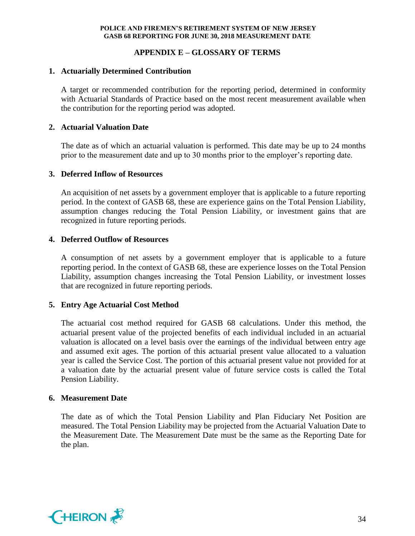## **APPENDIX E – GLOSSARY OF TERMS**

## **1. Actuarially Determined Contribution**

A target or recommended contribution for the reporting period, determined in conformity with Actuarial Standards of Practice based on the most recent measurement available when the contribution for the reporting period was adopted.

## **2. Actuarial Valuation Date**

The date as of which an actuarial valuation is performed. This date may be up to 24 months prior to the measurement date and up to 30 months prior to the employer's reporting date.

## **3. Deferred Inflow of Resources**

An acquisition of net assets by a government employer that is applicable to a future reporting period. In the context of GASB 68, these are experience gains on the Total Pension Liability, assumption changes reducing the Total Pension Liability, or investment gains that are recognized in future reporting periods.

## **4. Deferred Outflow of Resources**

A consumption of net assets by a government employer that is applicable to a future reporting period. In the context of GASB 68, these are experience losses on the Total Pension Liability, assumption changes increasing the Total Pension Liability, or investment losses that are recognized in future reporting periods.

## **5. Entry Age Actuarial Cost Method**

The actuarial cost method required for GASB 68 calculations. Under this method, the actuarial present value of the projected benefits of each individual included in an actuarial valuation is allocated on a level basis over the earnings of the individual between entry age and assumed exit ages. The portion of this actuarial present value allocated to a valuation year is called the Service Cost. The portion of this actuarial present value not provided for at a valuation date by the actuarial present value of future service costs is called the Total Pension Liability.

## **6. Measurement Date**

The date as of which the Total Pension Liability and Plan Fiduciary Net Position are measured. The Total Pension Liability may be projected from the Actuarial Valuation Date to the Measurement Date. The Measurement Date must be the same as the Reporting Date for the plan.